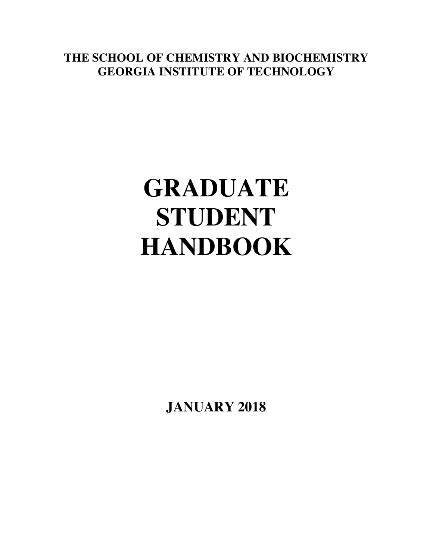**THE SCHOOL OF CHEMISTRY AND BIOCHEMISTRY GEORGIA INSTITUTE OF TECHNOLOGY**

# **GRADUATE STUDENT HANDBOOK**

**JANUARY 2018**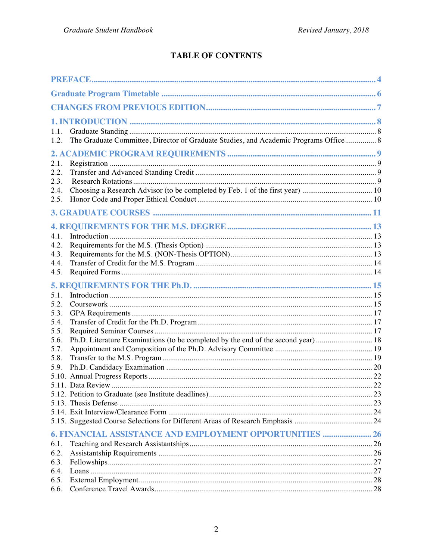#### **TABLE OF CONTENTS**

| 1.1.<br>1.2. | The Graduate Committee, Director of Graduate Studies, and Academic Programs Office 8 |  |
|--------------|--------------------------------------------------------------------------------------|--|
|              |                                                                                      |  |
| 2.1.<br>2.2. |                                                                                      |  |
| 2.3.<br>2.4. |                                                                                      |  |
| 2.5.         |                                                                                      |  |
|              |                                                                                      |  |
|              |                                                                                      |  |
| 4.1.         |                                                                                      |  |
| 4.2.         |                                                                                      |  |
| 4.3.         |                                                                                      |  |
| 4.4.         |                                                                                      |  |
| 4.5.         |                                                                                      |  |
|              |                                                                                      |  |
| 5.1.         |                                                                                      |  |
| 5.2.         |                                                                                      |  |
| 5.3.<br>5.4. |                                                                                      |  |
| 5.5.         |                                                                                      |  |
| 5.6.         |                                                                                      |  |
| 5.7.         |                                                                                      |  |
| 5.8.         |                                                                                      |  |
| 5.9.         |                                                                                      |  |
|              |                                                                                      |  |
|              |                                                                                      |  |
|              |                                                                                      |  |
|              |                                                                                      |  |
|              |                                                                                      |  |
|              |                                                                                      |  |
|              | 6. FINANCIAL ASSISTANCE AND EMPLOYMENT OPPORTUNITIES  26                             |  |
| 6.1.         |                                                                                      |  |
| 6.2.         |                                                                                      |  |
| 6.3.         |                                                                                      |  |
| 6.4.         |                                                                                      |  |
| 6.5.         |                                                                                      |  |
| 6.6.         |                                                                                      |  |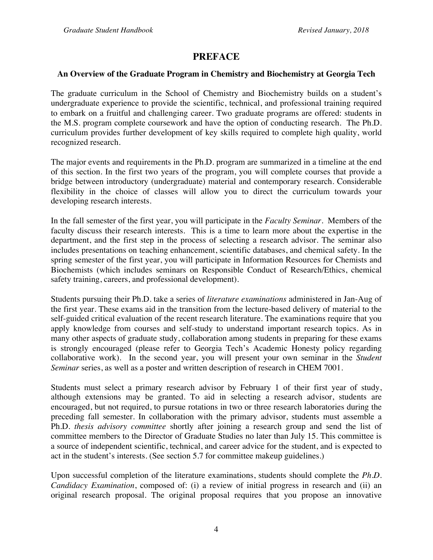#### **PREFACE**

#### **An Overview of the Graduate Program in Chemistry and Biochemistry at Georgia Tech**

The graduate curriculum in the School of Chemistry and Biochemistry builds on a student's undergraduate experience to provide the scientific, technical, and professional training required to embark on a fruitful and challenging career. Two graduate programs are offered: students in the M.S. program complete coursework and have the option of conducting research. The Ph.D. curriculum provides further development of key skills required to complete high quality, world recognized research.

The major events and requirements in the Ph.D. program are summarized in a timeline at the end of this section. In the first two years of the program, you will complete courses that provide a bridge between introductory (undergraduate) material and contemporary research. Considerable flexibility in the choice of classes will allow you to direct the curriculum towards your developing research interests.

In the fall semester of the first year, you will participate in the *Faculty Seminar*. Members of the faculty discuss their research interests. This is a time to learn more about the expertise in the department, and the first step in the process of selecting a research advisor. The seminar also includes presentations on teaching enhancement, scientific databases, and chemical safety. In the spring semester of the first year, you will participate in Information Resources for Chemists and Biochemists (which includes seminars on Responsible Conduct of Research/Ethics, chemical safety training, careers, and professional development).

Students pursuing their Ph.D. take a series of *literature examinations* administered in Jan-Aug of the first year. These exams aid in the transition from the lecture-based delivery of material to the self-guided critical evaluation of the recent research literature. The examinations require that you apply knowledge from courses and self-study to understand important research topics. As in many other aspects of graduate study, collaboration among students in preparing for these exams is strongly encouraged (please refer to Georgia Tech's Academic Honesty policy regarding collaborative work). In the second year, you will present your own seminar in the *Student Seminar* series, as well as a poster and written description of research in CHEM 7001.

Students must select a primary research advisor by February 1 of their first year of study, although extensions may be granted. To aid in selecting a research advisor, students are encouraged, but not required, to pursue rotations in two or three research laboratories during the preceding fall semester. In collaboration with the primary advisor, students must assemble a Ph.D. *thesis advisory committee* shortly after joining a research group and send the list of committee members to the Director of Graduate Studies no later than July 15. This committee is a source of independent scientific, technical, and career advice for the student, and is expected to act in the student's interests. (See section 5.7 for committee makeup guidelines.)

Upon successful completion of the literature examinations, students should complete the *Ph.D. Candidacy Examination*, composed of: (i) a review of initial progress in research and (ii) an original research proposal. The original proposal requires that you propose an innovative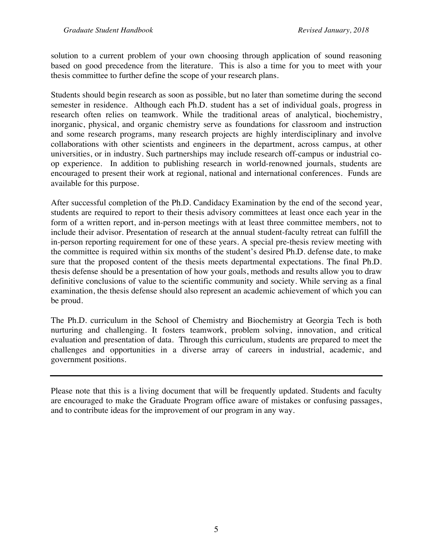solution to a current problem of your own choosing through application of sound reasoning based on good precedence from the literature. This is also a time for you to meet with your thesis committee to further define the scope of your research plans.

Students should begin research as soon as possible, but no later than sometime during the second semester in residence. Although each Ph.D. student has a set of individual goals, progress in research often relies on teamwork. While the traditional areas of analytical, biochemistry, inorganic, physical, and organic chemistry serve as foundations for classroom and instruction and some research programs, many research projects are highly interdisciplinary and involve collaborations with other scientists and engineers in the department, across campus, at other universities, or in industry. Such partnerships may include research off-campus or industrial coop experience. In addition to publishing research in world-renowned journals, students are encouraged to present their work at regional, national and international conferences. Funds are available for this purpose.

After successful completion of the Ph.D. Candidacy Examination by the end of the second year, students are required to report to their thesis advisory committees at least once each year in the form of a written report, and in-person meetings with at least three committee members, not to include their advisor. Presentation of research at the annual student-faculty retreat can fulfill the in-person reporting requirement for one of these years. A special pre-thesis review meeting with the committee is required within six months of the student's desired Ph.D. defense date, to make sure that the proposed content of the thesis meets departmental expectations. The final Ph.D. thesis defense should be a presentation of how your goals, methods and results allow you to draw definitive conclusions of value to the scientific community and society. While serving as a final examination, the thesis defense should also represent an academic achievement of which you can be proud.

The Ph.D. curriculum in the School of Chemistry and Biochemistry at Georgia Tech is both nurturing and challenging. It fosters teamwork, problem solving, innovation, and critical evaluation and presentation of data. Through this curriculum, students are prepared to meet the challenges and opportunities in a diverse array of careers in industrial, academic, and government positions.

Please note that this is a living document that will be frequently updated. Students and faculty are encouraged to make the Graduate Program office aware of mistakes or confusing passages, and to contribute ideas for the improvement of our program in any way.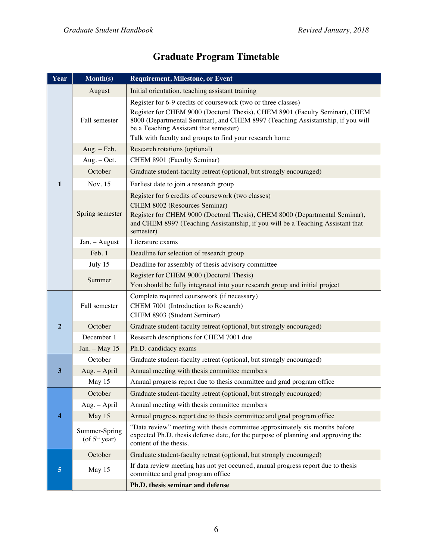(of  $5<sup>th</sup>$  year)

content of the thesis.

committee and grad program office **Ph.D. thesis seminar and defense**

| Year             | $\overline{\text{Month}(s)}$                                                           | <b>Requirement, Milestone, or Event</b>                                                                                                                                                                                                                                                                                              |
|------------------|----------------------------------------------------------------------------------------|--------------------------------------------------------------------------------------------------------------------------------------------------------------------------------------------------------------------------------------------------------------------------------------------------------------------------------------|
|                  | August                                                                                 | Initial orientation, teaching assistant training                                                                                                                                                                                                                                                                                     |
|                  | Fall semester                                                                          | Register for 6-9 credits of coursework (two or three classes)<br>Register for CHEM 9000 (Doctoral Thesis), CHEM 8901 (Faculty Seminar), CHEM<br>8000 (Departmental Seminar), and CHEM 8997 (Teaching Assistantship, if you will<br>be a Teaching Assistant that semester)<br>Talk with faculty and groups to find your research home |
|                  | Aug. - Feb.                                                                            | Research rotations (optional)                                                                                                                                                                                                                                                                                                        |
|                  | $Aug. - Oct.$                                                                          | CHEM 8901 (Faculty Seminar)                                                                                                                                                                                                                                                                                                          |
|                  | October                                                                                | Graduate student-faculty retreat (optional, but strongly encouraged)                                                                                                                                                                                                                                                                 |
| $\mathbf{1}$     | Nov. 15                                                                                | Earliest date to join a research group                                                                                                                                                                                                                                                                                               |
|                  | Spring semester                                                                        | Register for 6 credits of coursework (two classes)<br>CHEM 8002 (Resources Seminar)<br>Register for CHEM 9000 (Doctoral Thesis), CHEM 8000 (Departmental Seminar),<br>and CHEM 8997 (Teaching Assistantship, if you will be a Teaching Assistant that<br>semester)                                                                   |
|                  | Jan. - August                                                                          | Literature exams                                                                                                                                                                                                                                                                                                                     |
|                  | Feb. 1                                                                                 | Deadline for selection of research group                                                                                                                                                                                                                                                                                             |
|                  | July 15                                                                                | Deadline for assembly of thesis advisory committee                                                                                                                                                                                                                                                                                   |
|                  | Summer                                                                                 | Register for CHEM 9000 (Doctoral Thesis)                                                                                                                                                                                                                                                                                             |
|                  |                                                                                        | You should be fully integrated into your research group and initial project                                                                                                                                                                                                                                                          |
|                  | Fall semester                                                                          | Complete required coursework (if necessary)<br>CHEM 7001 (Introduction to Research)<br>CHEM 8903 (Student Seminar)                                                                                                                                                                                                                   |
| $\boldsymbol{2}$ | October                                                                                | Graduate student-faculty retreat (optional, but strongly encouraged)                                                                                                                                                                                                                                                                 |
|                  | December 1                                                                             | Research descriptions for CHEM 7001 due                                                                                                                                                                                                                                                                                              |
|                  | Jan. - May 15                                                                          | Ph.D. candidacy exams                                                                                                                                                                                                                                                                                                                |
| 3<br>4           | October                                                                                | Graduate student-faculty retreat (optional, but strongly encouraged)                                                                                                                                                                                                                                                                 |
|                  | Aug. - April                                                                           | Annual meeting with thesis committee members                                                                                                                                                                                                                                                                                         |
|                  | May 15                                                                                 | Annual progress report due to thesis committee and grad program office                                                                                                                                                                                                                                                               |
|                  | October                                                                                | Graduate student-faculty retreat (optional, but strongly encouraged)                                                                                                                                                                                                                                                                 |
|                  | Aug. - April                                                                           | Annual meeting with thesis committee members                                                                                                                                                                                                                                                                                         |
|                  | May 15                                                                                 | Annual progress report due to thesis committee and grad program office                                                                                                                                                                                                                                                               |
|                  | Summer-Spring<br>$\ell$ - $\mathcal{L}$ $\mathcal{L}$ th $\mathcal{L}$ - $\mathcal{L}$ | "Data review" meeting with thesis committee approximately six months before<br>expected Ph.D. thesis defense date, for the purpose of planning and approving the                                                                                                                                                                     |

#### **Graduate Program Timetable**

October Graduate student-faculty retreat (optional, but strongly encouraged) **5** May 15 If data review meeting has not yet occurred, annual progress report due to thesis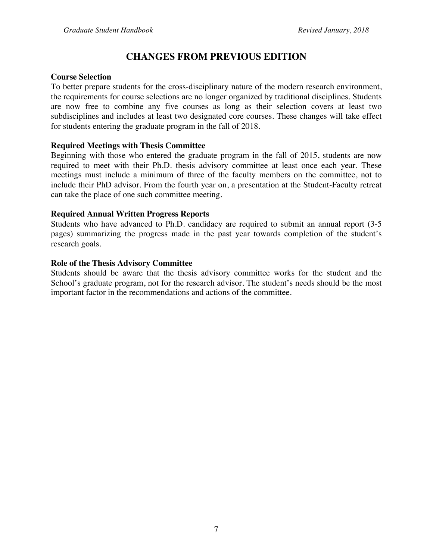### **CHANGES FROM PREVIOUS EDITION**

#### **Course Selection**

To better prepare students for the cross-disciplinary nature of the modern research environment, the requirements for course selections are no longer organized by traditional disciplines. Students are now free to combine any five courses as long as their selection covers at least two subdisciplines and includes at least two designated core courses. These changes will take effect for students entering the graduate program in the fall of 2018.

#### **Required Meetings with Thesis Committee**

Beginning with those who entered the graduate program in the fall of 2015, students are now required to meet with their Ph.D. thesis advisory committee at least once each year. These meetings must include a minimum of three of the faculty members on the committee, not to include their PhD advisor. From the fourth year on, a presentation at the Student-Faculty retreat can take the place of one such committee meeting.

#### **Required Annual Written Progress Reports**

Students who have advanced to Ph.D. candidacy are required to submit an annual report (3-5 pages) summarizing the progress made in the past year towards completion of the student's research goals.

#### **Role of the Thesis Advisory Committee**

Students should be aware that the thesis advisory committee works for the student and the School's graduate program, not for the research advisor. The student's needs should be the most important factor in the recommendations and actions of the committee.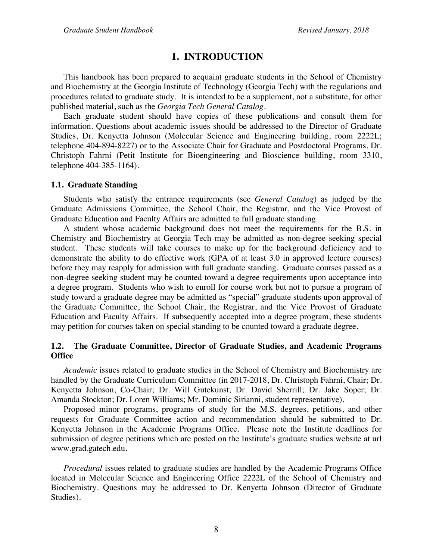#### **1. INTRODUCTION**

This handbook has been prepared to acquaint graduate students in the School of Chemistry and Biochemistry at the Georgia Institute of Technology (Georgia Tech) with the regulations and procedures related to graduate study. It is intended to be a supplement, not a substitute, for other published material, such as the *Georgia Tech General Catalog*.

Each graduate student should have copies of these publications and consult them for information. Questions about academic issues should be addressed to the Director of Graduate Studies, Dr. Kenyetta Johnson (Molecular Science and Engineering building, room 2222L; telephone 404-894-8227) or to the Associate Chair for Graduate and Postdoctoral Programs, Dr. Christoph Fahrni (Petit Institute for Bioengineering and Bioscience building, room 3310, telephone 404-385-1164).

#### **1.1. Graduate Standing**

Students who satisfy the entrance requirements (see *General Catalog*) as judged by the Graduate Admissions Committee, the School Chair, the Registrar, and the Vice Provost of Graduate Education and Faculty Affairs are admitted to full graduate standing.

A student whose academic background does not meet the requirements for the B.S. in Chemistry and Biochemistry at Georgia Tech may be admitted as non-degree seeking special student. These students will take courses to make up for the background deficiency and to demonstrate the ability to do effective work (GPA of at least 3.0 in approved lecture courses) before they may reapply for admission with full graduate standing. Graduate courses passed as a non-degree seeking student may be counted toward a degree requirements upon acceptance into a degree program. Students who wish to enroll for course work but not to pursue a program of study toward a graduate degree may be admitted as "special" graduate students upon approval of the Graduate Committee, the School Chair, the Registrar, and the Vice Provost of Graduate Education and Faculty Affairs. If subsequently accepted into a degree program, these students may petition for courses taken on special standing to be counted toward a graduate degree.

#### **1.2. The Graduate Committee, Director of Graduate Studies, and Academic Programs Office**

*Academic* issues related to graduate studies in the School of Chemistry and Biochemistry are handled by the Graduate Curriculum Committee (in 2017-2018, Dr. Christoph Fahrni, Chair; Dr. Kenyetta Johnson, Co-Chair; Dr. Will Gutekunst; Dr. David Sherrill; Dr. Jake Soper; Dr. Amanda Stockton; Dr. Loren Williams; Mr. Dominic Sirianni, student representative).

Proposed minor programs, programs of study for the M.S. degrees, petitions, and other requests for Graduate Committee action and recommendation should be submitted to Dr. Kenyetta Johnson in the Academic Programs Office. Please note the Institute deadlines for submission of degree petitions which are posted on the Institute's graduate studies website at url www.grad.gatech.edu.

*Procedural* issues related to graduate studies are handled by the Academic Programs Office located in Molecular Science and Engineering Office 2222L of the School of Chemistry and Biochemistry. Questions may be addressed to Dr. Kenyetta Johnson (Director of Graduate Studies).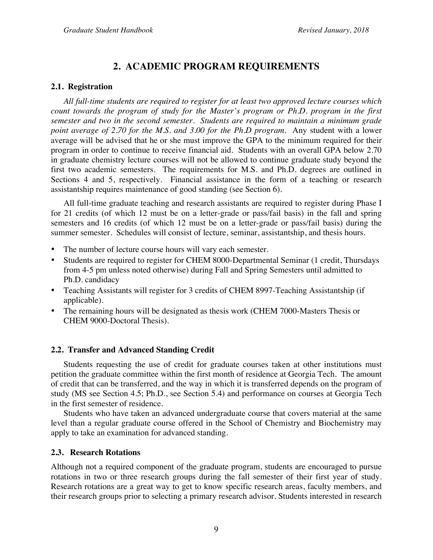### **2. ACADEMIC PROGRAM REQUIREMENTS**

#### **2.1. Registration**

*All full-time students are required to register for at least two approved lecture courses which count towards the program of study for the Master's program or Ph.D. program in the first semester and two in the second semester. Students are required to maintain a minimum grade point average of 2.70 for the M.S. and 3.00 for the Ph.D program.* Any student with a lower average will be advised that he or she must improve the GPA to the minimum required for their program in order to continue to receive financial aid. Students with an overall GPA below 2.70 in graduate chemistry lecture courses will not be allowed to continue graduate study beyond the first two academic semesters. The requirements for M.S. and Ph.D. degrees are outlined in Sections 4 and 5, respectively. Financial assistance in the form of a teaching or research assistantship requires maintenance of good standing (see Section 6).

All full-time graduate teaching and research assistants are required to register during Phase I for 21 credits (of which 12 must be on a letter-grade or pass/fail basis) in the fall and spring semesters and 16 credits (of which 12 must be on a letter-grade or pass/fail basis) during the summer semester. Schedules will consist of lecture, seminar, assistantship, and thesis hours.

- The number of lecture course hours will vary each semester.
- Students are required to register for CHEM 8000-Departmental Seminar (1 credit, Thursdays from 4-5 pm unless noted otherwise) during Fall and Spring Semesters until admitted to Ph.D. candidacy
- Teaching Assistants will register for 3 credits of CHEM 8997-Teaching Assistantship (if applicable).
- The remaining hours will be designated as thesis work (CHEM 7000-Masters Thesis or CHEM 9000-Doctoral Thesis).

#### **2.2. Transfer and Advanced Standing Credit**

Students requesting the use of credit for graduate courses taken at other institutions must petition the graduate committee within the first month of residence at Georgia Tech. The amount of credit that can be transferred, and the way in which it is transferred depends on the program of study (MS see Section 4.5; Ph.D., see Section 5.4) and performance on courses at Georgia Tech in the first semester of residence.

Students who have taken an advanced undergraduate course that covers material at the same level than a regular graduate course offered in the School of Chemistry and Biochemistry may apply to take an examination for advanced standing.

#### **2.3. Research Rotations**

Although not a required component of the graduate program, students are encouraged to pursue rotations in two or three research groups during the fall semester of their first year of study. Research rotations are a great way to get to know specific research areas, faculty members, and their research groups prior to selecting a primary research advisor. Students interested in research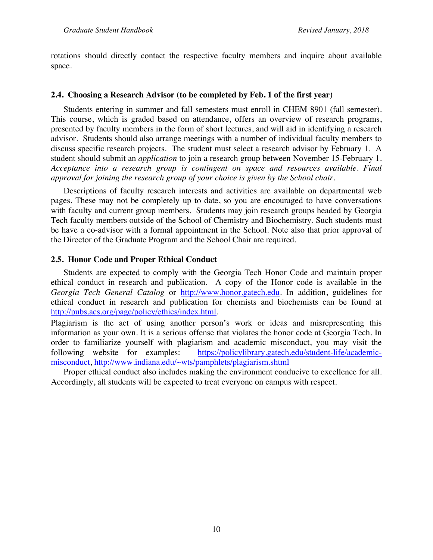rotations should directly contact the respective faculty members and inquire about available space.

#### **2.4. Choosing a Research Advisor (to be completed by Feb. 1 of the first year)**

Students entering in summer and fall semesters must enroll in CHEM 8901 (fall semester). This course, which is graded based on attendance, offers an overview of research programs, presented by faculty members in the form of short lectures, and will aid in identifying a research advisor. Students should also arrange meetings with a number of individual faculty members to discuss specific research projects. The student must select a research advisor by February 1. A student should submit an *application* to join a research group between November 15-February 1. *Acceptance into a research group is contingent on space and resources available. Final approval for joining the research group of your choice is given by the School chair.*

Descriptions of faculty research interests and activities are available on departmental web pages. These may not be completely up to date, so you are encouraged to have conversations with faculty and current group members. Students may join research groups headed by Georgia Tech faculty members outside of the School of Chemistry and Biochemistry. Such students must be have a co-advisor with a formal appointment in the School. Note also that prior approval of the Director of the Graduate Program and the School Chair are required.

#### **2.5. Honor Code and Proper Ethical Conduct**

Students are expected to comply with the Georgia Tech Honor Code and maintain proper ethical conduct in research and publication. A copy of the Honor code is available in the *Georgia Tech General Catalog* or http://www.honor.gatech.edu. In addition, guidelines for ethical conduct in research and publication for chemists and biochemists can be found at http://pubs.acs.org/page/policy/ethics/index.html.

Plagiarism is the act of using another person's work or ideas and misrepresenting this information as your own. It is a serious offense that violates the honor code at Georgia Tech. In order to familiarize yourself with plagiarism and academic misconduct, you may visit the following website for examples: https://policylibrary.gatech.edu/student-life/academicmisconduct, http://www.indiana.edu/~wts/pamphlets/plagiarism.shtml

Proper ethical conduct also includes making the environment conducive to excellence for all. Accordingly, all students will be expected to treat everyone on campus with respect.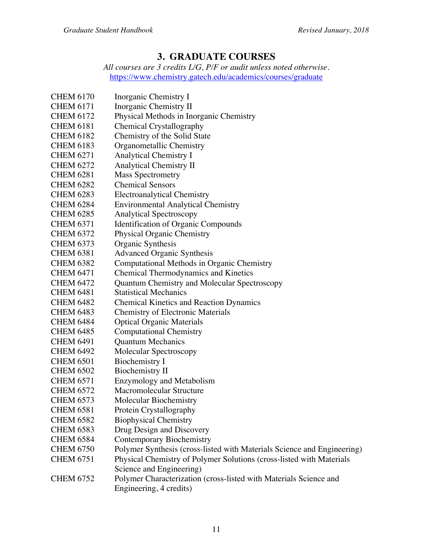#### **3. GRADUATE COURSES**

*All courses are 3 credits L/G, P/F or audit unless noted otherwise.* https://www.chemistry.gatech.edu/academics/courses/graduate

| <b>CHEM 6170</b> | Inorganic Chemistry I                                                                        |
|------------------|----------------------------------------------------------------------------------------------|
| <b>CHEM 6171</b> | Inorganic Chemistry II                                                                       |
| <b>CHEM 6172</b> | Physical Methods in Inorganic Chemistry                                                      |
| <b>CHEM 6181</b> | Chemical Crystallography                                                                     |
| <b>CHEM 6182</b> | Chemistry of the Solid State                                                                 |
| <b>CHEM 6183</b> | Organometallic Chemistry                                                                     |
| <b>CHEM 6271</b> | <b>Analytical Chemistry I</b>                                                                |
| <b>CHEM 6272</b> | <b>Analytical Chemistry II</b>                                                               |
| <b>CHEM 6281</b> | <b>Mass Spectrometry</b>                                                                     |
| <b>CHEM 6282</b> | <b>Chemical Sensors</b>                                                                      |
| <b>CHEM 6283</b> | <b>Electroanalytical Chemistry</b>                                                           |
| <b>CHEM 6284</b> | <b>Environmental Analytical Chemistry</b>                                                    |
| <b>CHEM 6285</b> | <b>Analytical Spectroscopy</b>                                                               |
| <b>CHEM 6371</b> | Identification of Organic Compounds                                                          |
| <b>CHEM 6372</b> | <b>Physical Organic Chemistry</b>                                                            |
| <b>CHEM 6373</b> | Organic Synthesis                                                                            |
| <b>CHEM 6381</b> | <b>Advanced Organic Synthesis</b>                                                            |
| <b>CHEM 6382</b> | Computational Methods in Organic Chemistry                                                   |
| <b>CHEM 6471</b> | <b>Chemical Thermodynamics and Kinetics</b>                                                  |
| <b>CHEM 6472</b> | Quantum Chemistry and Molecular Spectroscopy                                                 |
| <b>CHEM 6481</b> | <b>Statistical Mechanics</b>                                                                 |
| <b>CHEM 6482</b> | <b>Chemical Kinetics and Reaction Dynamics</b>                                               |
| <b>CHEM 6483</b> | <b>Chemistry of Electronic Materials</b>                                                     |
| <b>CHEM 6484</b> | <b>Optical Organic Materials</b>                                                             |
| <b>CHEM 6485</b> | <b>Computational Chemistry</b>                                                               |
| <b>CHEM 6491</b> | <b>Quantum Mechanics</b>                                                                     |
| <b>CHEM 6492</b> | Molecular Spectroscopy                                                                       |
| <b>CHEM 6501</b> | <b>Biochemistry I</b>                                                                        |
| <b>CHEM 6502</b> | <b>Biochemistry II</b>                                                                       |
| <b>CHEM 6571</b> | <b>Enzymology and Metabolism</b>                                                             |
| <b>CHEM 6572</b> | Macromolecular Structure                                                                     |
| <b>CHEM 6573</b> | Molecular Biochemistry                                                                       |
| <b>CHEM 6581</b> | Protein Crystallography                                                                      |
| <b>CHEM 6582</b> | <b>Biophysical Chemistry</b>                                                                 |
| <b>CHEM 6583</b> | Drug Design and Discovery                                                                    |
| <b>CHEM 6584</b> | <b>Contemporary Biochemistry</b>                                                             |
| <b>CHEM 6750</b> | Polymer Synthesis (cross-listed with Materials Science and Engineering)                      |
| <b>CHEM 6751</b> | Physical Chemistry of Polymer Solutions (cross-listed with Materials                         |
|                  | Science and Engineering)                                                                     |
| <b>CHEM 6752</b> | Polymer Characterization (cross-listed with Materials Science and<br>Engineering, 4 credits) |
|                  |                                                                                              |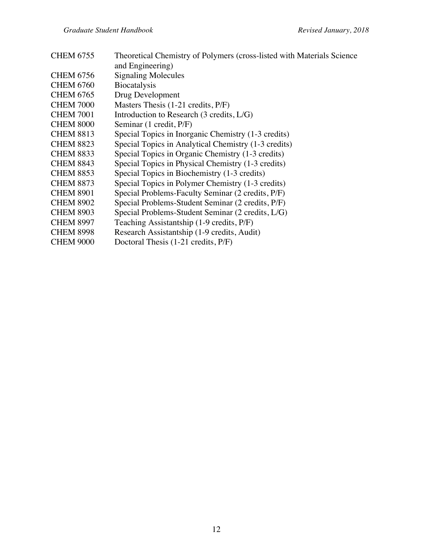| <b>CHEM 6755</b> | Theoretical Chemistry of Polymers (cross-listed with Materials Science) |
|------------------|-------------------------------------------------------------------------|
|                  | and Engineering)                                                        |
| <b>CHEM 6756</b> | <b>Signaling Molecules</b>                                              |
| <b>CHEM 6760</b> | <b>Biocatalysis</b>                                                     |
| <b>CHEM 6765</b> | Drug Development                                                        |
| <b>CHEM 7000</b> | Masters Thesis (1-21 credits, P/F)                                      |
| <b>CHEM 7001</b> | Introduction to Research (3 credits, L/G)                               |
| <b>CHEM 8000</b> | Seminar (1 credit, P/F)                                                 |
| <b>CHEM 8813</b> | Special Topics in Inorganic Chemistry (1-3 credits)                     |
| <b>CHEM 8823</b> | Special Topics in Analytical Chemistry (1-3 credits)                    |
| <b>CHEM 8833</b> | Special Topics in Organic Chemistry (1-3 credits)                       |
| <b>CHEM 8843</b> | Special Topics in Physical Chemistry (1-3 credits)                      |
| <b>CHEM 8853</b> | Special Topics in Biochemistry (1-3 credits)                            |
| <b>CHEM 8873</b> | Special Topics in Polymer Chemistry (1-3 credits)                       |
| <b>CHEM 8901</b> | Special Problems-Faculty Seminar (2 credits, P/F)                       |
| <b>CHEM 8902</b> | Special Problems-Student Seminar (2 credits, P/F)                       |
| <b>CHEM 8903</b> | Special Problems-Student Seminar (2 credits, L/G)                       |
| <b>CHEM 8997</b> | Teaching Assistantship (1-9 credits, P/F)                               |
| <b>CHEM 8998</b> | Research Assistantship (1-9 credits, Audit)                             |
| <b>CHEM 9000</b> | Doctoral Thesis (1-21 credits, P/F)                                     |
|                  |                                                                         |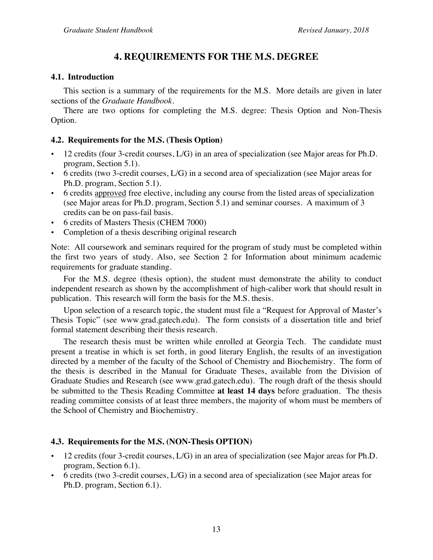#### **4. REQUIREMENTS FOR THE M.S. DEGREE**

#### **4.1. Introduction**

This section is a summary of the requirements for the M.S. More details are given in later sections of the *Graduate Handbook.* 

There are two options for completing the M.S. degree: Thesis Option and Non-Thesis Option.

#### **4.2. Requirements for the M.S. (Thesis Option)**

- 12 credits (four 3-credit courses, L/G) in an area of specialization (see Major areas for Ph.D. program, Section 5.1).
- 6 credits (two 3-credit courses, L/G) in a second area of specialization (see Major areas for Ph.D. program, Section 5.1).
- 6 credits approved free elective, including any course from the listed areas of specialization (see Major areas for Ph.D. program, Section 5.1) and seminar courses. A maximum of 3 credits can be on pass-fail basis.
- 6 credits of Masters Thesis (CHEM 7000)
- Completion of a thesis describing original research

Note: All coursework and seminars required for the program of study must be completed within the first two years of study. Also, see Section 2 for Information about minimum academic requirements for graduate standing.

For the M.S. degree (thesis option), the student must demonstrate the ability to conduct independent research as shown by the accomplishment of high-caliber work that should result in publication. This research will form the basis for the M.S. thesis.

Upon selection of a research topic, the student must file a "Request for Approval of Master's Thesis Topic" (see www.grad.gatech.edu). The form consists of a dissertation title and brief formal statement describing their thesis research.

The research thesis must be written while enrolled at Georgia Tech. The candidate must present a treatise in which is set forth, in good literary English, the results of an investigation directed by a member of the faculty of the School of Chemistry and Biochemistry. The form of the thesis is described in the Manual for Graduate Theses, available from the Division of Graduate Studies and Research (see www.grad.gatech.edu). The rough draft of the thesis should be submitted to the Thesis Reading Committee **at least 14 days** before graduation. The thesis reading committee consists of at least three members, the majority of whom must be members of the School of Chemistry and Biochemistry.

#### **4.3. Requirements for the M.S. (NON-Thesis OPTION)**

- 12 credits (four 3-credit courses, L/G) in an area of specialization (see Major areas for Ph.D. program, Section 6.1).
- 6 credits (two 3-credit courses, L/G) in a second area of specialization (see Major areas for Ph.D. program, Section 6.1).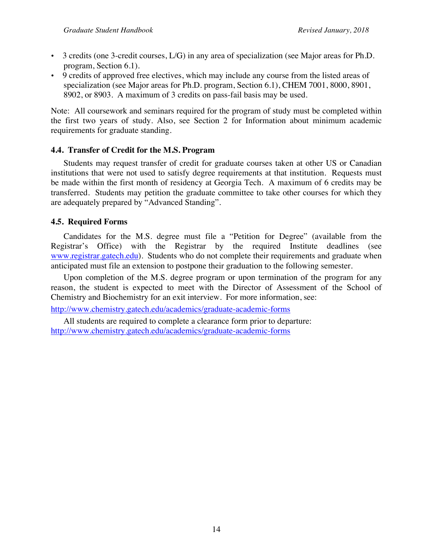- $\bullet$  3 credits (one 3-credit courses,  $L/G$ ) in any area of specialization (see Major areas for Ph.D. program, Section 6.1).
- 9 credits of approved free electives, which may include any course from the listed areas of specialization (see Major areas for Ph.D. program, Section 6.1), CHEM 7001, 8000, 8901, 8902, or 8903. A maximum of 3 credits on pass-fail basis may be used.

Note: All coursework and seminars required for the program of study must be completed within the first two years of study. Also, see Section 2 for Information about minimum academic requirements for graduate standing.

#### **4.4. Transfer of Credit for the M.S. Program**

Students may request transfer of credit for graduate courses taken at other US or Canadian institutions that were not used to satisfy degree requirements at that institution. Requests must be made within the first month of residency at Georgia Tech. A maximum of 6 credits may be transferred. Students may petition the graduate committee to take other courses for which they are adequately prepared by "Advanced Standing".

#### **4.5. Required Forms**

Candidates for the M.S. degree must file a "Petition for Degree" (available from the Registrar's Office) with the Registrar by the required Institute deadlines (see www.registrar.gatech.edu). Students who do not complete their requirements and graduate when anticipated must file an extension to postpone their graduation to the following semester.

Upon completion of the M.S. degree program or upon termination of the program for any reason, the student is expected to meet with the Director of Assessment of the School of Chemistry and Biochemistry for an exit interview. For more information, see:

http://www.chemistry.gatech.edu/academics/graduate-academic-forms

All students are required to complete a clearance form prior to departure: http://www.chemistry.gatech.edu/academics/graduate-academic-forms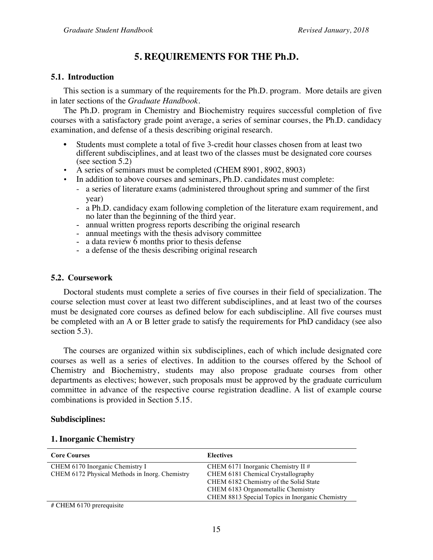#### **5. REQUIREMENTS FOR THE Ph.D.**

#### **5.1. Introduction**

This section is a summary of the requirements for the Ph.D. program. More details are given in later sections of the *Graduate Handbook.* 

The Ph.D. program in Chemistry and Biochemistry requires successful completion of five courses with a satisfactory grade point average, a series of seminar courses, the Ph.D. candidacy examination, and defense of a thesis describing original research.

- Students must complete a total of five 3-credit hour classes chosen from at least two different subdisciplines, and at least two of the classes must be designated core courses (see section 5.2)
- A series of seminars must be completed (CHEM 8901, 8902, 8903)
- In addition to above courses and seminars, Ph.D. candidates must complete:
	- a series of literature exams (administered throughout spring and summer of the first year)
	- a Ph.D. candidacy exam following completion of the literature exam requirement, and no later than the beginning of the third year.
	- annual written progress reports describing the original research
	- annual meetings with the thesis advisory committee
	- a data review  $\overline{6}$  months prior to thesis defense
	- a defense of the thesis describing original research

#### **5.2. Coursework**

Doctoral students must complete a series of five courses in their field of specialization. The course selection must cover at least two different subdisciplines, and at least two of the courses must be designated core courses as defined below for each subdiscipline. All five courses must be completed with an A or B letter grade to satisfy the requirements for PhD candidacy (see also section 5.3).

The courses are organized within six subdisciplines, each of which include designated core courses as well as a series of electives. In addition to the courses offered by the School of Chemistry and Biochemistry, students may also propose graduate courses from other departments as electives; however, such proposals must be approved by the graduate curriculum committee in advance of the respective course registration deadline. A list of example course combinations is provided in Section 5.15.

#### **Subdisciplines:**

| <b>Core Courses</b>                            | <b>Electives</b>                                |
|------------------------------------------------|-------------------------------------------------|
| CHEM 6170 Inorganic Chemistry I                | CHEM 6171 Inorganic Chemistry II $#$            |
| CHEM 6172 Physical Methods in Inorg. Chemistry | CHEM 6181 Chemical Crystallography              |
|                                                | CHEM 6182 Chemistry of the Solid State          |
|                                                | CHEM 6183 Organometallic Chemistry              |
|                                                | CHEM 8813 Special Topics in Inorganic Chemistry |
| $\mu$ CIIEM (170                               |                                                 |

#### **1. Inorganic Chemistry**

# CHEM 6170 prerequisite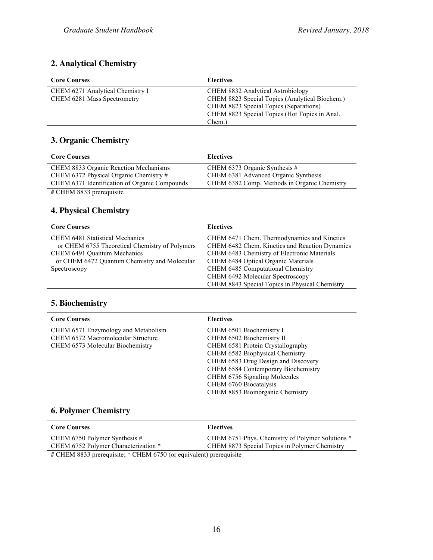#### **2. Analytical Chemistry**

| <b>Core Courses</b>              | <b>Electives</b>                               |
|----------------------------------|------------------------------------------------|
| CHEM 6271 Analytical Chemistry I | <b>CHEM 8832 Analytical Astrobiology</b>       |
| CHEM 6281 Mass Spectrometry      | CHEM 8823 Special Topics (Analytical Biochem.) |
|                                  | CHEM 8823 Special Topics (Separations)         |
|                                  | CHEM 8823 Special Topics (Hot Topics in Anal.  |
|                                  | Chem.)                                         |

#### **3. Organic Chemistry**

| <b>Core Courses</b>                           | <b>Electives</b>                             |
|-----------------------------------------------|----------------------------------------------|
| CHEM 8833 Organic Reaction Mechanisms         | CHEM 6373 Organic Synthesis $#$              |
| CHEM 6372 Physical Organic Chemistry #        | CHEM 6381 Advanced Organic Synthesis         |
| CHEM 6371 Identification of Organic Compounds | CHEM 6382 Comp. Methods in Organic Chemistry |
| $\#$ CHEM 8833 prerequisite                   |                                              |

#### **4. Physical Chemistry**

| <b>Core Courses</b>                            | <b>Electives</b>                               |
|------------------------------------------------|------------------------------------------------|
| <b>CHEM 6481 Statistical Mechanics</b>         | CHEM 6471 Chem. Thermodynamics and Kinetics    |
| or CHEM 6755 Theoretical Chemistry of Polymers | CHEM 6482 Chem. Kinetics and Reaction Dynamics |
| CHEM 6491 Quantum Mechanics                    | CHEM 6483 Chemistry of Electronic Materials    |
| or CHEM 6472 Quantum Chemistry and Molecular   | CHEM 6484 Optical Organic Materials            |
| Spectroscopy                                   | CHEM 6485 Computational Chemistry              |
|                                                | CHEM 6492 Molecular Spectroscopy               |
|                                                | CHEM 8843 Special Topics in Physical Chemistry |

#### **5. Biochemistry**

| <b>Core Courses</b>                 | <b>Electives</b>                    |
|-------------------------------------|-------------------------------------|
| CHEM 6571 Enzymology and Metabolism | CHEM 6501 Biochemistry I            |
| CHEM 6572 Macromolecular Structure  | CHEM 6502 Biochemistry II           |
| CHEM 6573 Molecular Biochemistry    | CHEM 6581 Protein Crystallography   |
|                                     | CHEM 6582 Biophysical Chemistry     |
|                                     | CHEM 6583 Drug Design and Discovery |
|                                     | CHEM 6584 Contemporary Biochemistry |
|                                     | CHEM 6756 Signaling Molecules       |
|                                     | CHEM 6760 Biocatalysis              |
|                                     | CHEM 8853 Bioinorganic Chemistry    |

#### **6. Polymer Chemistry**

| <b>Core Courses</b>                  | <b>Electives</b>                                 |
|--------------------------------------|--------------------------------------------------|
| CHEM 6750 Polymer Synthesis $#$      | CHEM 6751 Phys. Chemistry of Polymer Solutions * |
| CHEM 6752 Polymer Characterization * | CHEM 8873 Special Topics in Polymer Chemistry    |
| .                                    |                                                  |

# CHEM 8833 prerequisite; \* CHEM 6750 (or equivalent) prerequisite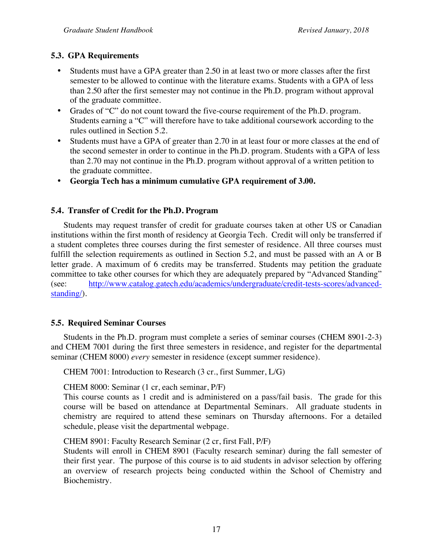#### **5.3. GPA Requirements**

- Students must have a GPA greater than 2.50 in at least two or more classes after the first semester to be allowed to continue with the literature exams. Students with a GPA of less than 2.50 after the first semester may not continue in the Ph.D. program without approval of the graduate committee.
- Grades of "C" do not count toward the five-course requirement of the Ph.D. program. Students earning a "C" will therefore have to take additional coursework according to the rules outlined in Section 5.2.
- Students must have a GPA of greater than 2.70 in at least four or more classes at the end of the second semester in order to continue in the Ph.D. program. Students with a GPA of less than 2.70 may not continue in the Ph.D. program without approval of a written petition to the graduate committee.
- **Georgia Tech has a minimum cumulative GPA requirement of 3.00.**

#### **5.4. Transfer of Credit for the Ph.D. Program**

Students may request transfer of credit for graduate courses taken at other US or Canadian institutions within the first month of residency at Georgia Tech. Credit will only be transferred if a student completes three courses during the first semester of residence. All three courses must fulfill the selection requirements as outlined in Section 5.2, and must be passed with an A or B letter grade. A maximum of 6 credits may be transferred. Students may petition the graduate committee to take other courses for which they are adequately prepared by "Advanced Standing" (see: http://www.catalog.gatech.edu/academics/undergraduate/credit-tests-scores/advancedstanding/).

#### **5.5. Required Seminar Courses**

Students in the Ph.D. program must complete a series of seminar courses (CHEM 8901-2-3) and CHEM 7001 during the first three semesters in residence, and register for the departmental seminar (CHEM 8000) *every* semester in residence (except summer residence).

CHEM 7001: Introduction to Research (3 cr., first Summer, L/G)

CHEM 8000: Seminar (1 cr, each seminar, P/F)

This course counts as 1 credit and is administered on a pass/fail basis. The grade for this course will be based on attendance at Departmental Seminars. All graduate students in chemistry are required to attend these seminars on Thursday afternoons. For a detailed schedule, please visit the departmental webpage.

CHEM 8901: Faculty Research Seminar (2 cr, first Fall, P/F)

Students will enroll in CHEM 8901 (Faculty research seminar) during the fall semester of their first year. The purpose of this course is to aid students in advisor selection by offering an overview of research projects being conducted within the School of Chemistry and Biochemistry.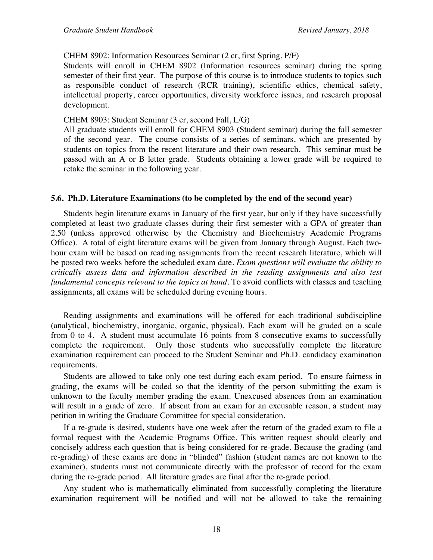#### CHEM 8902: Information Resources Seminar (2 cr, first Spring, P/F)

Students will enroll in CHEM 8902 (Information resources seminar) during the spring semester of their first year. The purpose of this course is to introduce students to topics such as responsible conduct of research (RCR training), scientific ethics, chemical safety, intellectual property, career opportunities, diversity workforce issues, and research proposal development.

#### CHEM 8903: Student Seminar (3 cr, second Fall, L/G)

All graduate students will enroll for CHEM 8903 (Student seminar) during the fall semester of the second year. The course consists of a series of seminars, which are presented by students on topics from the recent literature and their own research. This seminar must be passed with an A or B letter grade. Students obtaining a lower grade will be required to retake the seminar in the following year.

#### **5.6. Ph.D. Literature Examinations (to be completed by the end of the second year)**

Students begin literature exams in January of the first year, but only if they have successfully completed at least two graduate classes during their first semester with a GPA of greater than 2.50 (unless approved otherwise by the Chemistry and Biochemistry Academic Programs Office). A total of eight literature exams will be given from January through August. Each twohour exam will be based on reading assignments from the recent research literature, which will be posted two weeks before the scheduled exam date. *Exam questions will evaluate the ability to critically assess data and information described in the reading assignments and also test fundamental concepts relevant to the topics at hand.* To avoid conflicts with classes and teaching assignments, all exams will be scheduled during evening hours.

Reading assignments and examinations will be offered for each traditional subdiscipline (analytical, biochemistry, inorganic, organic, physical). Each exam will be graded on a scale from 0 to 4. A student must accumulate 16 points from 8 consecutive exams to successfully complete the requirement. Only those students who successfully complete the literature examination requirement can proceed to the Student Seminar and Ph.D. candidacy examination requirements.

Students are allowed to take only one test during each exam period. To ensure fairness in grading, the exams will be coded so that the identity of the person submitting the exam is unknown to the faculty member grading the exam. Unexcused absences from an examination will result in a grade of zero. If absent from an exam for an excusable reason, a student may petition in writing the Graduate Committee for special consideration.

If a re-grade is desired, students have one week after the return of the graded exam to file a formal request with the Academic Programs Office. This written request should clearly and concisely address each question that is being considered for re-grade. Because the grading (and re-grading) of these exams are done in "blinded" fashion (student names are not known to the examiner), students must not communicate directly with the professor of record for the exam during the re-grade period. All literature grades are final after the re-grade period.

Any student who is mathematically eliminated from successfully completing the literature examination requirement will be notified and will not be allowed to take the remaining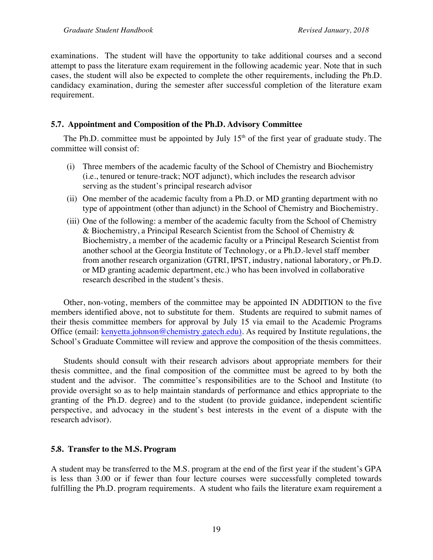examinations. The student will have the opportunity to take additional courses and a second attempt to pass the literature exam requirement in the following academic year. Note that in such cases, the student will also be expected to complete the other requirements, including the Ph.D. candidacy examination, during the semester after successful completion of the literature exam requirement.

#### **5.7. Appointment and Composition of the Ph.D. Advisory Committee**

The Ph.D. committee must be appointed by July 15<sup>th</sup> of the first year of graduate study. The committee will consist of:

- (i) Three members of the academic faculty of the School of Chemistry and Biochemistry (i.e., tenured or tenure-track; NOT adjunct), which includes the research advisor serving as the student's principal research advisor
- (ii) One member of the academic faculty from a Ph.D. or MD granting department with no type of appointment (other than adjunct) in the School of Chemistry and Biochemistry.
- (iii) One of the following: a member of the academic faculty from the School of Chemistry & Biochemistry, a Principal Research Scientist from the School of Chemistry & Biochemistry, a member of the academic faculty or a Principal Research Scientist from another school at the Georgia Institute of Technology, or a Ph.D.-level staff member from another research organization (GTRI, IPST, industry, national laboratory, or Ph.D. or MD granting academic department, etc.) who has been involved in collaborative research described in the student's thesis.

Other, non-voting, members of the committee may be appointed IN ADDITION to the five members identified above, not to substitute for them. Students are required to submit names of their thesis committee members for approval by July 15 via email to the Academic Programs Office (email: kenyetta.johnson@chemistry.gatech.edu). As required by Institute regulations, the School's Graduate Committee will review and approve the composition of the thesis committees.

Students should consult with their research advisors about appropriate members for their thesis committee, and the final composition of the committee must be agreed to by both the student and the advisor. The committee's responsibilities are to the School and Institute (to provide oversight so as to help maintain standards of performance and ethics appropriate to the granting of the Ph.D. degree) and to the student (to provide guidance, independent scientific perspective, and advocacy in the student's best interests in the event of a dispute with the research advisor).

#### **5.8. Transfer to the M.S. Program**

A student may be transferred to the M.S. program at the end of the first year if the student's GPA is less than 3.00 or if fewer than four lecture courses were successfully completed towards fulfilling the Ph.D. program requirements. A student who fails the literature exam requirement a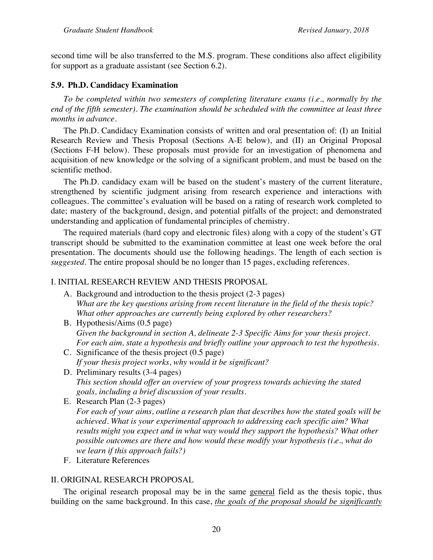second time will be also transferred to the M.S. program. These conditions also affect eligibility for support as a graduate assistant (see Section 6.2).

#### **5.9. Ph.D. Candidacy Examination**

*To be completed within two semesters of completing literature exams (i.e., normally by the end of the fifth semester). The examination should be scheduled with the committee at least three months in advance.*

The Ph.D. Candidacy Examination consists of written and oral presentation of: (I) an Initial Research Review and Thesis Proposal (Sections A-E below), and (II) an Original Proposal (Sections F-H below). These proposals must provide for an investigation of phenomena and acquisition of new knowledge or the solving of a significant problem, and must be based on the scientific method.

The Ph.D. candidacy exam will be based on the student's mastery of the current literature, strengthened by scientific judgment arising from research experience and interactions with colleagues. The committee's evaluation will be based on a rating of research work completed to date; mastery of the background, design, and potential pitfalls of the project; and demonstrated understanding and application of fundamental principles of chemistry.

The required materials (hard copy and electronic files) along with a copy of the student's GT transcript should be submitted to the examination committee at least one week before the oral presentation. The documents should use the following headings. The length of each section is *suggested*. The entire proposal should be no longer than 15 pages, excluding references.

#### I. INITIAL RESEARCH REVIEW AND THESIS PROPOSAL

- A. Background and introduction to the thesis project (2-3 pages) *What are the key questions arising from recent literature in the field of the thesis topic? What other approaches are currently being explored by other researchers?*
- B. Hypothesis/Aims (0.5 page) *Given the background in section A, delineate 2-3 Specific Aims for your thesis project. For each aim, state a hypothesis and briefly outline your approach to test the hypothesis.*
- C. Significance of the thesis project (0.5 page) *If your thesis project works, why would it be significant?*
- D. Preliminary results (3-4 pages) *This section should offer an overview of your progress towards achieving the stated goals, including a brief discussion of your results.*
- E. Research Plan (2-3 pages) *For each of your aims, outline a research plan that describes how the stated goals will be achieved. What is your experimental approach to addressing each specific aim? What results might you expect and in what way would they support the hypothesis? What other possible outcomes are there and how would these modify your hypothesis (i.e., what do we learn if this approach fails?)*
- F. Literature References

#### II. ORIGINAL RESEARCH PROPOSAL

The original research proposal may be in the same general field as the thesis topic, thus building on the same background. In this case, *the goals of the proposal should be significantly*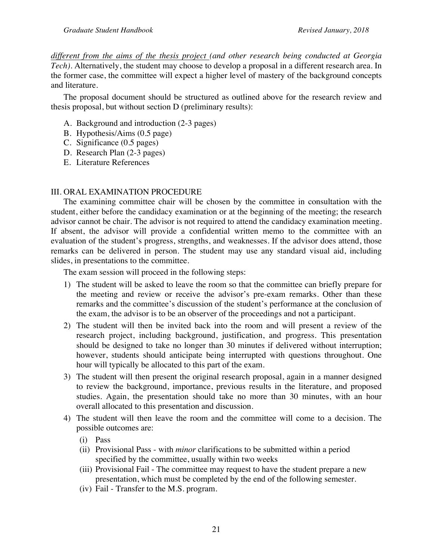*different from the aims of the thesis project (and other research being conducted at Georgia Tech)*. Alternatively, the student may choose to develop a proposal in a different research area. In the former case, the committee will expect a higher level of mastery of the background concepts and literature.

The proposal document should be structured as outlined above for the research review and thesis proposal, but without section D (preliminary results):

- A. Background and introduction (2-3 pages)
- B. Hypothesis/Aims (0.5 page)
- C. Significance (0.5 pages)
- D. Research Plan (2-3 pages)
- E. Literature References

#### III. ORAL EXAMINATION PROCEDURE

The examining committee chair will be chosen by the committee in consultation with the student, either before the candidacy examination or at the beginning of the meeting; the research advisor cannot be chair. The advisor is not required to attend the candidacy examination meeting. If absent, the advisor will provide a confidential written memo to the committee with an evaluation of the student's progress, strengths, and weaknesses. If the advisor does attend, those remarks can be delivered in person. The student may use any standard visual aid, including slides, in presentations to the committee.

The exam session will proceed in the following steps:

- 1) The student will be asked to leave the room so that the committee can briefly prepare for the meeting and review or receive the advisor's pre-exam remarks. Other than these remarks and the committee's discussion of the student's performance at the conclusion of the exam, the advisor is to be an observer of the proceedings and not a participant.
- 2) The student will then be invited back into the room and will present a review of the research project, including background, justification, and progress. This presentation should be designed to take no longer than 30 minutes if delivered without interruption; however, students should anticipate being interrupted with questions throughout. One hour will typically be allocated to this part of the exam.
- 3) The student will then present the original research proposal, again in a manner designed to review the background, importance, previous results in the literature, and proposed studies. Again, the presentation should take no more than 30 minutes, with an hour overall allocated to this presentation and discussion.
- 4) The student will then leave the room and the committee will come to a decision. The possible outcomes are:
	- (i) Pass
	- (ii) Provisional Pass with *minor* clarifications to be submitted within a period specified by the committee, usually within two weeks
	- (iii) Provisional Fail The committee may request to have the student prepare a new presentation, which must be completed by the end of the following semester.
	- (iv) Fail Transfer to the M.S. program.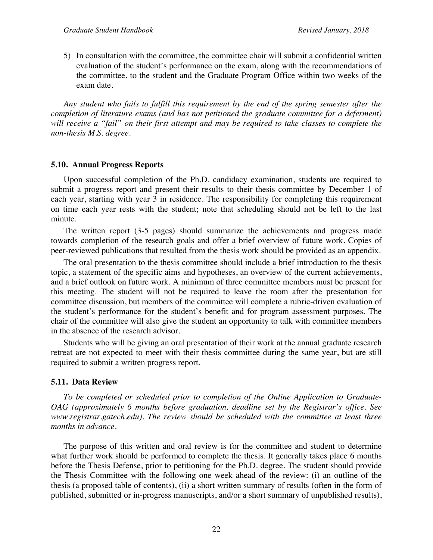5) In consultation with the committee, the committee chair will submit a confidential written evaluation of the student's performance on the exam, along with the recommendations of the committee, to the student and the Graduate Program Office within two weeks of the exam date.

*Any student who fails to fulfill this requirement by the end of the spring semester after the completion of literature exams (and has not petitioned the graduate committee for a deferment) will receive a "fail" on their first attempt and may be required to take classes to complete the non-thesis M.S. degree.*

#### **5.10. Annual Progress Reports**

Upon successful completion of the Ph.D. candidacy examination, students are required to submit a progress report and present their results to their thesis committee by December 1 of each year, starting with year 3 in residence. The responsibility for completing this requirement on time each year rests with the student; note that scheduling should not be left to the last minute.

The written report (3-5 pages) should summarize the achievements and progress made towards completion of the research goals and offer a brief overview of future work. Copies of peer-reviewed publications that resulted from the thesis work should be provided as an appendix.

The oral presentation to the thesis committee should include a brief introduction to the thesis topic, a statement of the specific aims and hypotheses, an overview of the current achievements, and a brief outlook on future work. A minimum of three committee members must be present for this meeting. The student will not be required to leave the room after the presentation for committee discussion, but members of the committee will complete a rubric-driven evaluation of the student's performance for the student's benefit and for program assessment purposes. The chair of the committee will also give the student an opportunity to talk with committee members in the absence of the research advisor.

Students who will be giving an oral presentation of their work at the annual graduate research retreat are not expected to meet with their thesis committee during the same year, but are still required to submit a written progress report.

#### **5.11. Data Review**

*To be completed or scheduled prior to completion of the Online Application to Graduate-OAG (approximately 6 months before graduation, deadline set by the Registrar's office. See www.registrar.gatech.edu). The review should be scheduled with the committee at least three months in advance.*

The purpose of this written and oral review is for the committee and student to determine what further work should be performed to complete the thesis. It generally takes place 6 months before the Thesis Defense, prior to petitioning for the Ph.D. degree. The student should provide the Thesis Committee with the following one week ahead of the review: (i) an outline of the thesis (a proposed table of contents), (ii) a short written summary of results (often in the form of published, submitted or in-progress manuscripts, and/or a short summary of unpublished results),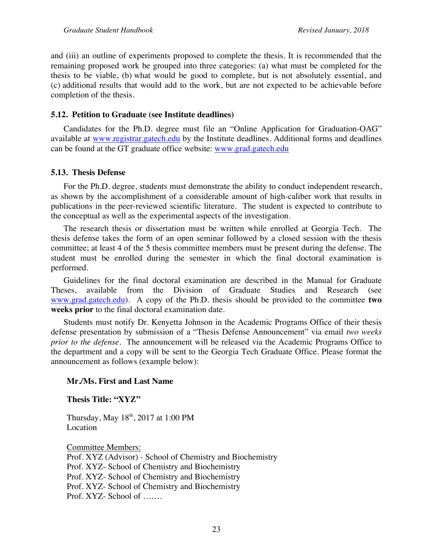and (iii) an outline of experiments proposed to complete the thesis. It is recommended that the remaining proposed work be grouped into three categories: (a) what must be completed for the thesis to be viable, (b) what would be good to complete, but is not absolutely essential, and (c) additional results that would add to the work, but are not expected to be achievable before completion of the thesis.

#### **5.12. Petition to Graduate (see Institute deadlines)**

Candidates for the Ph.D. degree must file an "Online Application for Graduation-OAG" available at www.registrar.gatech.edu by the Institute deadlines. Additional forms and deadlines can be found at the GT graduate office website: www.grad.gatech.edu

#### **5.13. Thesis Defense**

For the Ph.D. degree, students must demonstrate the ability to conduct independent research, as shown by the accomplishment of a considerable amount of high-caliber work that results in publications in the peer-reviewed scientific literature. The student is expected to contribute to the conceptual as well as the experimental aspects of the investigation.

The research thesis or dissertation must be written while enrolled at Georgia Tech. The thesis defense takes the form of an open seminar followed by a closed session with the thesis committee; at least 4 of the 5 thesis committee members must be present during the defense. The student must be enrolled during the semester in which the final doctoral examination is performed.

Guidelines for the final doctoral examination are described in the Manual for Graduate Theses, available from the Division of Graduate Studies and Research (see www.grad.gatech.edu). A copy of the Ph.D. thesis should be provided to the committee **two weeks prior** to the final doctoral examination date.

Students must notify Dr. Kenyetta Johnson in the Academic Programs Office of their thesis defense presentation by submission of a "Thesis Defense Announcement" via email *two weeks prior to the defense*. The announcement will be released via the Academic Programs Office to the department and a copy will be sent to the Georgia Tech Graduate Office. Please format the announcement as follows (example below):

#### **Mr./Ms. First and Last Name**

**Thesis Title: "XYZ"**

Thursday, May  $18<sup>th</sup>$ , 2017 at 1:00 PM Location

Committee Members: Prof. XYZ (Advisor) - School of Chemistry and Biochemistry Prof. XYZ- School of Chemistry and Biochemistry Prof. XYZ- School of Chemistry and Biochemistry Prof. XYZ- School of Chemistry and Biochemistry Prof. XYZ- School of …….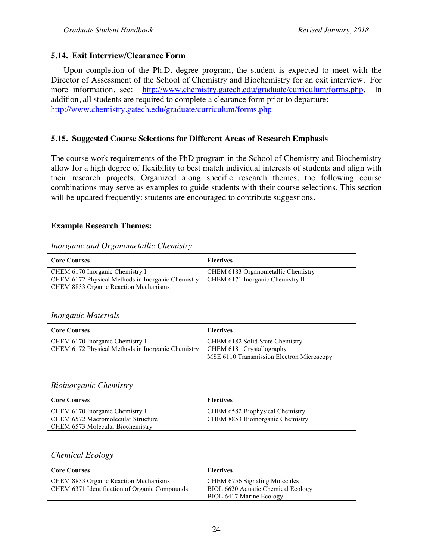#### **5.14. Exit Interview/Clearance Form**

Upon completion of the Ph.D. degree program, the student is expected to meet with the Director of Assessment of the School of Chemistry and Biochemistry for an exit interview. For more information, see: http://www.chemistry.gatech.edu/graduate/curriculum/forms.php. In addition, all students are required to complete a clearance form prior to departure: http://www.chemistry.gatech.edu/graduate/curriculum/forms.php

#### **5.15. Suggested Course Selections for Different Areas of Research Emphasis**

The course work requirements of the PhD program in the School of Chemistry and Biochemistry allow for a high degree of flexibility to best match individual interests of students and align with their research projects. Organized along specific research themes, the following course combinations may serve as examples to guide students with their course selections. This section will be updated frequently: students are encouraged to contribute suggestions.

#### **Example Research Themes:**

## *Inorganic and Organometallic Chemistry*

| <b>Core Courses</b>                               | <b>Electives</b>                   |
|---------------------------------------------------|------------------------------------|
| CHEM 6170 Inorganic Chemistry I                   | CHEM 6183 Organometallic Chemistry |
| CHEM 6172 Physical Methods in Inorganic Chemistry | CHEM 6171 Inorganic Chemistry II   |
| <b>CHEM 8833 Organic Reaction Mechanisms</b>      |                                    |

#### *Inorganic Materials*

| <b>Core Courses</b>                               | <b>Electives</b>                          |
|---------------------------------------------------|-------------------------------------------|
| CHEM 6170 Inorganic Chemistry I                   | CHEM 6182 Solid State Chemistry           |
| CHEM 6172 Physical Methods in Inorganic Chemistry | CHEM 6181 Crystallography                 |
|                                                   | MSE 6110 Transmission Electron Microscopy |

#### *Bioinorganic Chemistry*

| <b>Core Courses</b>                | <b>Electives</b>                 |
|------------------------------------|----------------------------------|
| CHEM 6170 Inorganic Chemistry I    | CHEM 6582 Biophysical Chemistry  |
| CHEM 6572 Macromolecular Structure | CHEM 8853 Bioinorganic Chemistry |
| CHEM 6573 Molecular Biochemistry   |                                  |

#### *Chemical Ecology*

| <b>Core Courses</b>                           | <b>Electives</b>                   |
|-----------------------------------------------|------------------------------------|
| CHEM 8833 Organic Reaction Mechanisms         | CHEM 6756 Signaling Molecules      |
| CHEM 6371 Identification of Organic Compounds | BIOL 6620 Aquatic Chemical Ecology |
|                                               | BIOL 6417 Marine Ecology           |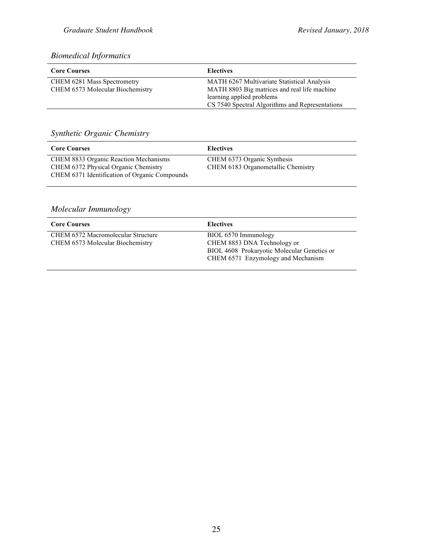#### *Biomedical Informatics*

| <b>Core Courses</b>              | <b>Electives</b>                                |
|----------------------------------|-------------------------------------------------|
| CHEM 6281 Mass Spectrometry      | MATH 6267 Multivariate Statistical Analysis     |
| CHEM 6573 Molecular Biochemistry | MATH 8803 Big matrices and real life machine    |
|                                  | learning applied problems                       |
|                                  | CS 7540 Spectral Algorithms and Representations |

#### *Synthetic Organic Chemistry*

| <b>Core Courses</b>                           | <b>Electives</b>                   |
|-----------------------------------------------|------------------------------------|
| <b>CHEM 8833 Organic Reaction Mechanisms</b>  | CHEM 6373 Organic Synthesis        |
| CHEM 6372 Physical Organic Chemistry          | CHEM 6183 Organometallic Chemistry |
| CHEM 6371 Identification of Organic Compounds |                                    |

#### *Molecular Immunology*

| <b>Core Courses</b>                                                    | <b>Electives</b>                                                                                                                         |
|------------------------------------------------------------------------|------------------------------------------------------------------------------------------------------------------------------------------|
| CHEM 6572 Macromolecular Structure<br>CHEM 6573 Molecular Biochemistry | BIOL 6570 Immunology<br>CHEM 8853 DNA Technology or<br>BIOL 4608 Prokaryotic Molecular Genetics or<br>CHEM 6571 Enzymology and Mechanism |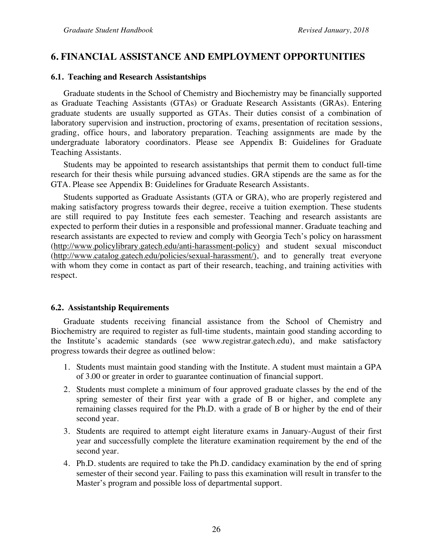#### **6. FINANCIAL ASSISTANCE AND EMPLOYMENT OPPORTUNITIES**

#### **6.1. Teaching and Research Assistantships**

Graduate students in the School of Chemistry and Biochemistry may be financially supported as Graduate Teaching Assistants (GTAs) or Graduate Research Assistants (GRAs). Entering graduate students are usually supported as GTAs. Their duties consist of a combination of laboratory supervision and instruction, proctoring of exams, presentation of recitation sessions, grading, office hours, and laboratory preparation. Teaching assignments are made by the undergraduate laboratory coordinators. Please see Appendix B: Guidelines for Graduate Teaching Assistants.

Students may be appointed to research assistantships that permit them to conduct full-time research for their thesis while pursuing advanced studies. GRA stipends are the same as for the GTA. Please see Appendix B: Guidelines for Graduate Research Assistants.

Students supported as Graduate Assistants (GTA or GRA), who are properly registered and making satisfactory progress towards their degree, receive a tuition exemption. These students are still required to pay Institute fees each semester. Teaching and research assistants are expected to perform their duties in a responsible and professional manner. Graduate teaching and research assistants are expected to review and comply with Georgia Tech's policy on harassment (http://www.policylibrary.gatech.edu/anti-harassment-policy) and student sexual misconduct (http://www.catalog.gatech.edu/policies/sexual-harassment/), and to generally treat everyone with whom they come in contact as part of their research, teaching, and training activities with respect.

#### **6.2. Assistantship Requirements**

Graduate students receiving financial assistance from the School of Chemistry and Biochemistry are required to register as full-time students, maintain good standing according to the Institute's academic standards (see www.registrar.gatech.edu), and make satisfactory progress towards their degree as outlined below:

- 1. Students must maintain good standing with the Institute. A student must maintain a GPA of 3.00 or greater in order to guarantee continuation of financial support.
- 2. Students must complete a minimum of four approved graduate classes by the end of the spring semester of their first year with a grade of B or higher, and complete any remaining classes required for the Ph.D. with a grade of B or higher by the end of their second year.
- 3. Students are required to attempt eight literature exams in January-August of their first year and successfully complete the literature examination requirement by the end of the second year.
- 4. Ph.D. students are required to take the Ph.D. candidacy examination by the end of spring semester of their second year. Failing to pass this examination will result in transfer to the Master's program and possible loss of departmental support.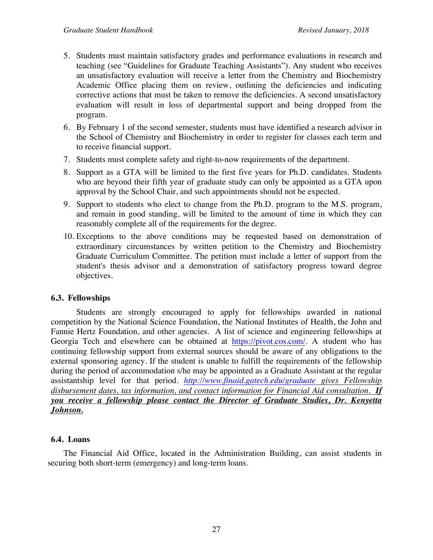- 5. Students must maintain satisfactory grades and performance evaluations in research and teaching (see "Guidelines for Graduate Teaching Assistants"). Any student who receives an unsatisfactory evaluation will receive a letter from the Chemistry and Biochemistry Academic Office placing them on review, outlining the deficiencies and indicating corrective actions that must be taken to remove the deficiencies. A second unsatisfactory evaluation will result in loss of departmental support and being dropped from the program.
- 6. By February 1 of the second semester, students must have identified a research advisor in the School of Chemistry and Biochemistry in order to register for classes each term and to receive financial support.
- 7. Students must complete safety and right-to-now requirements of the department.
- 8. Support as a GTA will be limited to the first five years for Ph.D. candidates. Students who are beyond their fifth year of graduate study can only be appointed as a GTA upon approval by the School Chair, and such appointments should not be expected.
- 9. Support to students who elect to change from the Ph.D. program to the M.S. program, and remain in good standing, will be limited to the amount of time in which they can reasonably complete all of the requirements for the degree.
- 10. Exceptions to the above conditions may be requested based on demonstration of extraordinary circumstances by written petition to the Chemistry and Biochemistry Graduate Curriculum Committee. The petition must include a letter of support from the student's thesis advisor and a demonstration of satisfactory progress toward degree objectives.

#### **6.3. Fellowships**

Students are strongly encouraged to apply for fellowships awarded in national competition by the National Science Foundation, the National Institutes of Health, the John and Fannie Hertz Foundation, and other agencies. A list of science and engineering fellowships at Georgia Tech and elsewhere can be obtained at https://pivot.cos.com/. A student who has continuing fellowship support from external sources should be aware of any obligations to the external sponsoring agency. If the student is unable to fulfill the requirements of the fellowship during the period of accommodation s/he may be appointed as a Graduate Assistant at the regular assistantship level for that period. *http://www.finaid.gatech.edu/graduate gives Fellowship disbursement dates, tax information, and contact information for Financial Aid consultation. If you receive a fellowship please contact the Director of Graduate Studies, Dr. Kenyetta Johnson.*

#### **6.4. Loans**

The Financial Aid Office, located in the Administration Building, can assist students in securing both short-term (emergency) and long-term loans.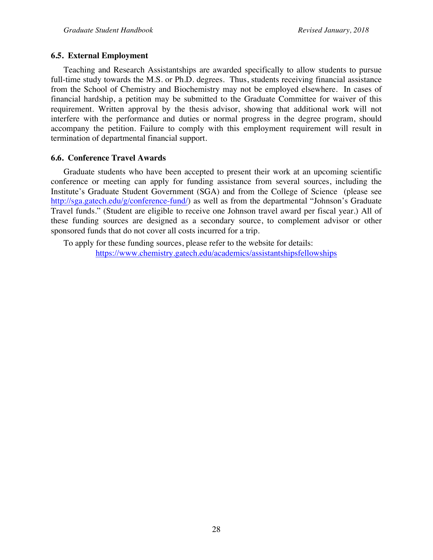#### **6.5. External Employment**

Teaching and Research Assistantships are awarded specifically to allow students to pursue full-time study towards the M.S. or Ph.D. degrees. Thus, students receiving financial assistance from the School of Chemistry and Biochemistry may not be employed elsewhere. In cases of financial hardship, a petition may be submitted to the Graduate Committee for waiver of this requirement. Written approval by the thesis advisor, showing that additional work will not interfere with the performance and duties or normal progress in the degree program, should accompany the petition. Failure to comply with this employment requirement will result in termination of departmental financial support.

#### **6.6. Conference Travel Awards**

Graduate students who have been accepted to present their work at an upcoming scientific conference or meeting can apply for funding assistance from several sources, including the Institute's Graduate Student Government (SGA) and from the College of Science (please see http://sga.gatech.edu/g/conference-fund/) as well as from the departmental "Johnson's Graduate Travel funds." (Student are eligible to receive one Johnson travel award per fiscal year.) All of these funding sources are designed as a secondary source, to complement advisor or other sponsored funds that do not cover all costs incurred for a trip.

To apply for these funding sources, please refer to the website for details: https://www.chemistry.gatech.edu/academics/assistantshipsfellowships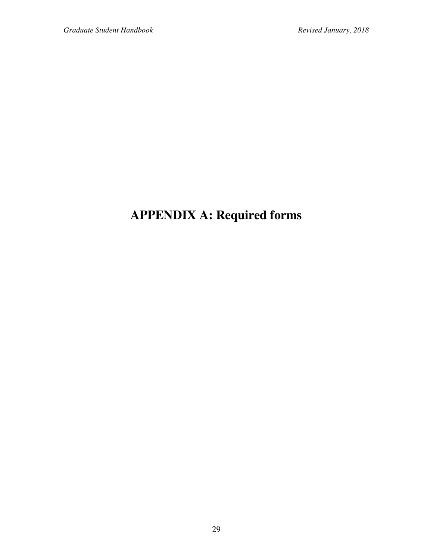## **APPENDIX A: Required forms**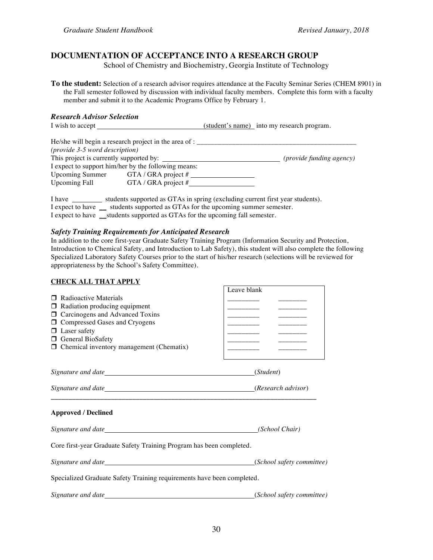#### **DOCUMENTATION OF ACCEPTANCE INTO A RESEARCH GROUP**

School of Chemistry and Biochemistry, Georgia Institute of Technology

**To the student:** Selection of a research advisor requires attendance at the Faculty Seminar Series (CHEM 8901) in the Fall semester followed by discussion with individual faculty members. Complete this form with a faculty member and submit it to the Academic Programs Office by February 1.

*Research Advisor Selection*  $(student's name)$  into my research program.

|                                         | He/she will begin a research project in the area of : |                                 |
|-----------------------------------------|-------------------------------------------------------|---------------------------------|
| (provide 3-5 word description)          |                                                       |                                 |
| This project is currently supported by: |                                                       | <i>(provide funding agency)</i> |
|                                         | I expect to support him/her by the following means:   |                                 |
| <b>Upcoming Summer</b>                  | GTA / GRA project $#$                                 |                                 |
| <b>Upcoming Fall</b>                    | GTA / GRA project $#$                                 |                                 |
|                                         |                                                       |                                 |

I have \_\_\_\_\_\_\_\_ students supported as GTAs in spring (excluding current first year students). I expect to have students supported as GTAs for the upcoming summer semester. I expect to have \_\_students supported as GTAs for the upcoming fall semester.

#### *Safety Training Requirements for Anticipated Research*

In addition to the core first-year Graduate Safety Training Program (Information Security and Protection, Introduction to Chemical Safety, and Introduction to Lab Safety), this student will also complete the following Specialized Laboratory Safety Courses prior to the start of his/her research (selections will be reviewed for appropriateness by the School's Safety Committee).

| <b>CHECK ALL THAT APPLY</b>                                                                                                                                                                                                                          |                |
|------------------------------------------------------------------------------------------------------------------------------------------------------------------------------------------------------------------------------------------------------|----------------|
| $\Box$ Radioactive Materials<br>$\Box$ Radiation producing equipment<br>□ Carcinogens and Advanced Toxins<br>□ Compressed Gases and Cryogens<br>$\Box$ Laser safety<br><b>O</b> General BioSafety<br>$\Box$ Chemical inventory management (Chematix) | Leave blank    |
|                                                                                                                                                                                                                                                      | (Student)      |
|                                                                                                                                                                                                                                                      |                |
| <b>Approved / Declined</b>                                                                                                                                                                                                                           |                |
|                                                                                                                                                                                                                                                      | (School Chair) |
| Core first-year Graduate Safety Training Program has been completed.                                                                                                                                                                                 |                |
|                                                                                                                                                                                                                                                      |                |
| Specialized Graduate Safety Training requirements have been completed.                                                                                                                                                                               |                |
|                                                                                                                                                                                                                                                      |                |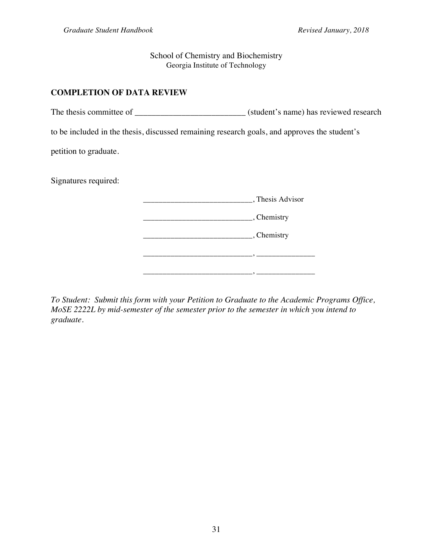School of Chemistry and Biochemistry Georgia Institute of Technology

#### **COMPLETION OF DATA REVIEW**

The thesis committee of \_\_\_\_\_\_\_\_\_\_\_\_\_\_\_\_\_\_\_\_\_\_\_\_\_\_\_\_\_\_\_(student's name) has reviewed research

to be included in the thesis, discussed remaining research goals, and approves the student's

petition to graduate.

Signatures required:

| , Thesis Advisor                     |
|--------------------------------------|
| $\overline{\phantom{a}}$ , Chemistry |
| _, Chemistry                         |
|                                      |
|                                      |

*To Student: Submit this form with your Petition to Graduate to the Academic Programs Office, MoSE 2222L by mid-semester of the semester prior to the semester in which you intend to graduate.*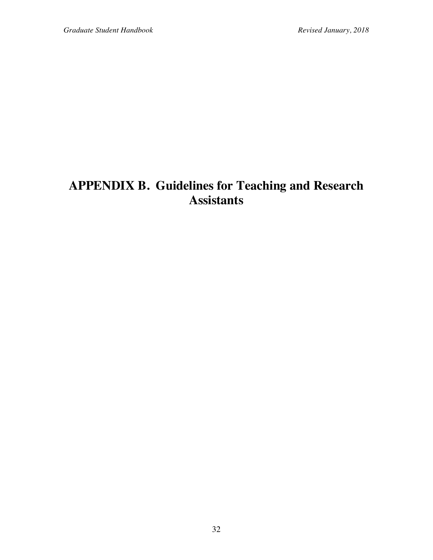### **APPENDIX B. Guidelines for Teaching and Research Assistants**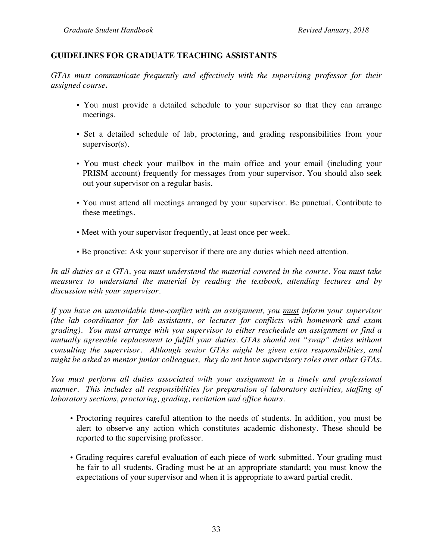#### **GUIDELINES FOR GRADUATE TEACHING ASSISTANTS**

*GTAs must communicate frequently and effectively with the supervising professor for their assigned course.*

- You must provide a detailed schedule to your supervisor so that they can arrange meetings.
- Set a detailed schedule of lab, proctoring, and grading responsibilities from your supervisor(s).
- You must check your mailbox in the main office and your email (including your PRISM account) frequently for messages from your supervisor. You should also seek out your supervisor on a regular basis.
- You must attend all meetings arranged by your supervisor. Be punctual. Contribute to these meetings.
- Meet with your supervisor frequently, at least once per week.
- Be proactive: Ask your supervisor if there are any duties which need attention.

*In all duties as a GTA, you must understand the material covered in the course. You must take measures to understand the material by reading the textbook, attending lectures and by discussion with your supervisor.*

*If you have an unavoidable time-conflict with an assignment, you must inform your supervisor (the lab coordinator for lab assistants, or lecturer for conflicts with homework and exam grading). You must arrange with you supervisor to either reschedule an assignment or find a mutually agreeable replacement to fulfill your duties. GTAs should not "swap" duties without consulting the supervisor. Although senior GTAs might be given extra responsibilities, and might be asked to mentor junior colleagues, they do not have supervisory roles over other GTAs.*

*You must perform all duties associated with your assignment in a timely and professional manner. This includes all responsibilities for preparation of laboratory activities, staffing of laboratory sections, proctoring, grading, recitation and office hours.*

- Proctoring requires careful attention to the needs of students. In addition, you must be alert to observe any action which constitutes academic dishonesty. These should be reported to the supervising professor.
- Grading requires careful evaluation of each piece of work submitted. Your grading must be fair to all students. Grading must be at an appropriate standard; you must know the expectations of your supervisor and when it is appropriate to award partial credit.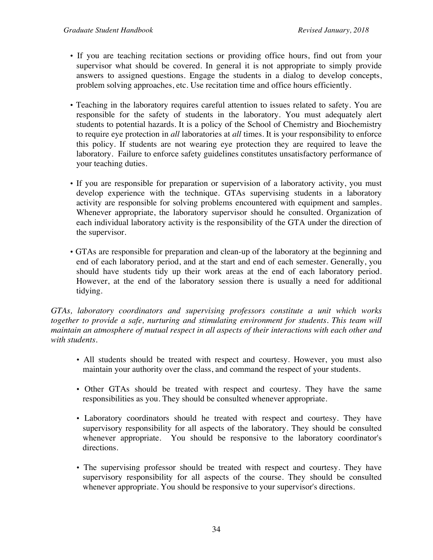- If you are teaching recitation sections or providing office hours, find out from your supervisor what should be covered. In general it is not appropriate to simply provide answers to assigned questions. Engage the students in a dialog to develop concepts, problem solving approaches, etc. Use recitation time and office hours efficiently.
- Teaching in the laboratory requires careful attention to issues related to safety. You are responsible for the safety of students in the laboratory. You must adequately alert students to potential hazards. It is a policy of the School of Chemistry and Biochemistry to require eye protection in *all* laboratories at *all* times. It is your responsibility to enforce this policy. If students are not wearing eye protection they are required to leave the laboratory. Failure to enforce safety guidelines constitutes unsatisfactory performance of your teaching duties.
- If you are responsible for preparation or supervision of a laboratory activity, you must develop experience with the technique. GTAs supervising students in a laboratory activity are responsible for solving problems encountered with equipment and samples. Whenever appropriate, the laboratory supervisor should he consulted. Organization of each individual laboratory activity is the responsibility of the GTA under the direction of the supervisor.
- GTAs are responsible for preparation and clean-up of the laboratory at the beginning and end of each laboratory period, and at the start and end of each semester. Generally, you should have students tidy up their work areas at the end of each laboratory period. However, at the end of the laboratory session there is usually a need for additional tidying.

*GTAs, laboratory coordinators and supervising professors constitute a unit which works together to provide a safe, nurturing and stimulating environment for students. This team will maintain an atmosphere of mutual respect in all aspects of their interactions with each other and with students.*

- All students should be treated with respect and courtesy. However, you must also maintain your authority over the class, and command the respect of your students.
- Other GTAs should be treated with respect and courtesy. They have the same responsibilities as you. They should be consulted whenever appropriate.
- Laboratory coordinators should he treated with respect and courtesy. They have supervisory responsibility for all aspects of the laboratory. They should be consulted whenever appropriate. You should be responsive to the laboratory coordinator's directions.
- The supervising professor should be treated with respect and courtesy. They have supervisory responsibility for all aspects of the course. They should be consulted whenever appropriate. You should be responsive to your supervisor's directions.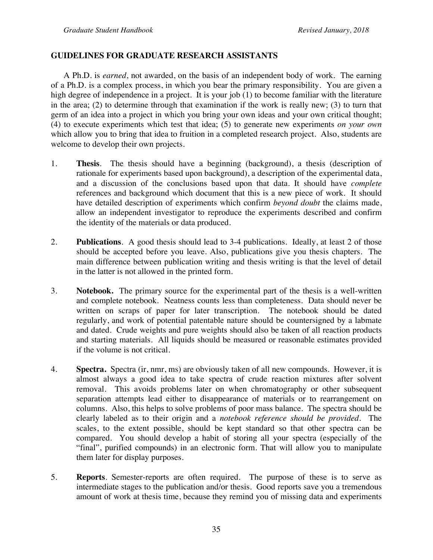#### **GUIDELINES FOR GRADUATE RESEARCH ASSISTANTS**

A Ph.D. is *earned*, not awarded, on the basis of an independent body of work. The earning of a Ph.D. is a complex process, in which you bear the primary responsibility. You are given a high degree of independence in a project. It is your job (1) to become familiar with the literature in the area; (2) to determine through that examination if the work is really new; (3) to turn that germ of an idea into a project in which you bring your own ideas and your own critical thought; (4) to execute experiments which test that idea; (5) to generate new experiments *on your own* which allow you to bring that idea to fruition in a completed research project. Also, students are welcome to develop their own projects.

- 1. **Thesis**. The thesis should have a beginning (background), a thesis (description of rationale for experiments based upon background), a description of the experimental data, and a discussion of the conclusions based upon that data. It should have *complete* references and background which document that this is a new piece of work. It should have detailed description of experiments which confirm *beyond doubt* the claims made, allow an independent investigator to reproduce the experiments described and confirm the identity of the materials or data produced.
- 2. **Publications**. A good thesis should lead to 3-4 publications. Ideally, at least 2 of those should be accepted before you leave. Also, publications give you thesis chapters. The main difference between publication writing and thesis writing is that the level of detail in the latter is not allowed in the printed form.
- 3. **Notebook.** The primary source for the experimental part of the thesis is a well-written and complete notebook. Neatness counts less than completeness. Data should never be written on scraps of paper for later transcription. The notebook should be dated regularly, and work of potential patentable nature should be countersigned by a labmate and dated. Crude weights and pure weights should also be taken of all reaction products and starting materials. All liquids should be measured or reasonable estimates provided if the volume is not critical.
- 4. **Spectra.** Spectra (ir, nmr, ms) are obviously taken of all new compounds. However, it is almost always a good idea to take spectra of crude reaction mixtures after solvent removal. This avoids problems later on when chromatography or other subsequent separation attempts lead either to disappearance of materials or to rearrangement on columns. Also, this helps to solve problems of poor mass balance. The spectra should be clearly labeled as to their origin and a *notebook reference should be provided*. The scales, to the extent possible, should be kept standard so that other spectra can be compared. You should develop a habit of storing all your spectra (especially of the "final", purified compounds) in an electronic form. That will allow you to manipulate them later for display purposes.
- 5. **Reports**. Semester-reports are often required. The purpose of these is to serve as intermediate stages to the publication and/or thesis. Good reports save you a tremendous amount of work at thesis time, because they remind you of missing data and experiments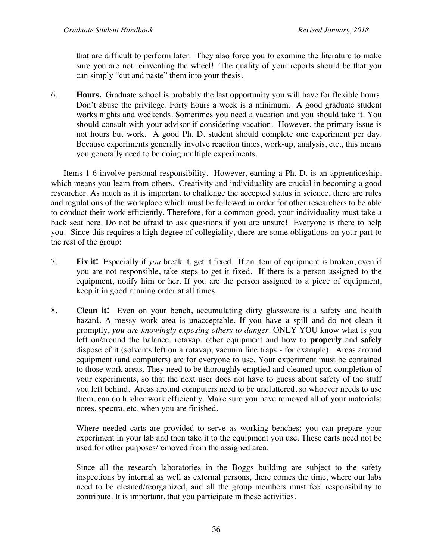that are difficult to perform later. They also force you to examine the literature to make sure you are not reinventing the wheel! The quality of your reports should be that you can simply "cut and paste" them into your thesis.

6. **Hours.** Graduate school is probably the last opportunity you will have for flexible hours. Don't abuse the privilege. Forty hours a week is a minimum. A good graduate student works nights and weekends. Sometimes you need a vacation and you should take it. You should consult with your advisor if considering vacation. However, the primary issue is not hours but work. A good Ph. D. student should complete one experiment per day. Because experiments generally involve reaction times, work-up, analysis, etc., this means you generally need to be doing multiple experiments.

Items 1-6 involve personal responsibility. However, earning a Ph. D. is an apprenticeship, which means you learn from others. Creativity and individuality are crucial in becoming a good researcher. As much as it is important to challenge the accepted status in science, there are rules and regulations of the workplace which must be followed in order for other researchers to be able to conduct their work efficiently. Therefore, for a common good, your individuality must take a back seat here. Do not be afraid to ask questions if you are unsure! Everyone is there to help you. Since this requires a high degree of collegiality, there are some obligations on your part to the rest of the group:

- 7. **Fix it!** Especially if *you* break it, get it fixed. If an item of equipment is broken, even if you are not responsible, take steps to get it fixed. If there is a person assigned to the equipment, notify him or her. If you are the person assigned to a piece of equipment, keep it in good running order at all times.
- 8. **Clean it!** Even on your bench, accumulating dirty glassware is a safety and health hazard. A messy work area is unacceptable. If you have a spill and do not clean it promptly, *you are knowingly exposing others to danger*. ONLY YOU know what is you left on/around the balance, rotavap, other equipment and how to **properly** and **safely** dispose of it (solvents left on a rotavap, vacuum line traps - for example). Areas around equipment (and computers) are for everyone to use. Your experiment must be contained to those work areas. They need to be thoroughly emptied and cleaned upon completion of your experiments, so that the next user does not have to guess about safety of the stuff you left behind. Areas around computers need to be uncluttered, so whoever needs to use them, can do his/her work efficiently. Make sure you have removed all of your materials: notes, spectra, etc. when you are finished.

Where needed carts are provided to serve as working benches; you can prepare your experiment in your lab and then take it to the equipment you use. These carts need not be used for other purposes/removed from the assigned area.

Since all the research laboratories in the Boggs building are subject to the safety inspections by internal as well as external persons, there comes the time, where our labs need to be cleaned/reorganized, and all the group members must feel responsibility to contribute. It is important, that you participate in these activities.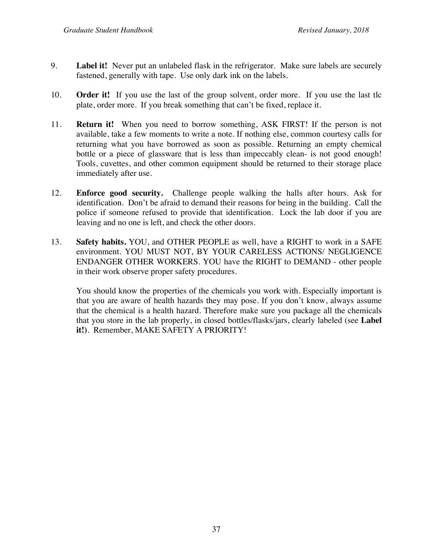- 9. **Label it!** Never put an unlabeled flask in the refrigerator. Make sure labels are securely fastened, generally with tape. Use only dark ink on the labels.
- 10. **Order it!** If you use the last of the group solvent, order more. If you use the last tlc plate, order more. If you break something that can't be fixed, replace it.
- 11. **Return it!** When you need to borrow something, ASK FIRST! If the person is not available, take a few moments to write a note. If nothing else, common courtesy calls for returning what you have borrowed as soon as possible. Returning an empty chemical bottle or a piece of glassware that is less than impeccably clean- is not good enough! Tools, cuvettes, and other common equipment should be returned to their storage place immediately after use.
- 12. **Enforce good security.** Challenge people walking the halls after hours. Ask for identification. Don't be afraid to demand their reasons for being in the building. Call the police if someone refused to provide that identification. Lock the lab door if you are leaving and no one is left, and check the other doors.
- 13. **Safety habits.** YOU, and OTHER PEOPLE as well, have a RIGHT to work in a SAFE environment. YOU MUST NOT, BY YOUR CARELESS ACTIONS/ NEGLIGENCE ENDANGER OTHER WORKERS. YOU have the RIGHT to DEMAND - other people in their work observe proper safety procedures.

You should know the properties of the chemicals you work with. Especially important is that you are aware of health hazards they may pose. If you don't know, always assume that the chemical is a health hazard. Therefore make sure you package all the chemicals that you store in the lab properly, in closed bottles/flasks/jars, clearly labeled (see **Label it!)**. Remember, MAKE SAFETY A PRIORITY!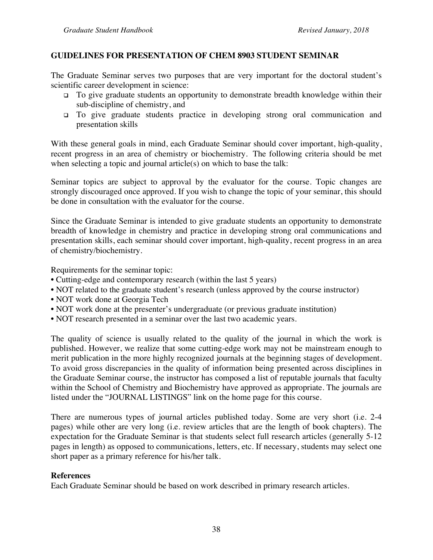#### **GUIDELINES FOR PRESENTATION OF CHEM 8903 STUDENT SEMINAR**

The Graduate Seminar serves two purposes that are very important for the doctoral student's scientific career development in science:

- <sup>q</sup> To give graduate students an opportunity to demonstrate breadth knowledge within their sub-discipline of chemistry, and
- <sup>q</sup> To give graduate students practice in developing strong oral communication and presentation skills

With these general goals in mind, each Graduate Seminar should cover important, high-quality, recent progress in an area of chemistry or biochemistry. The following criteria should be met when selecting a topic and journal article(s) on which to base the talk:

Seminar topics are subject to approval by the evaluator for the course. Topic changes are strongly discouraged once approved. If you wish to change the topic of your seminar, this should be done in consultation with the evaluator for the course.

Since the Graduate Seminar is intended to give graduate students an opportunity to demonstrate breadth of knowledge in chemistry and practice in developing strong oral communications and presentation skills, each seminar should cover important, high-quality, recent progress in an area of chemistry/biochemistry.

Requirements for the seminar topic:

- Cutting-edge and contemporary research (within the last 5 years)
- NOT related to the graduate student's research (unless approved by the course instructor)
- NOT work done at Georgia Tech
- NOT work done at the presenter's undergraduate (or previous graduate institution)
- NOT research presented in a seminar over the last two academic years.

The quality of science is usually related to the quality of the journal in which the work is published. However, we realize that some cutting-edge work may not be mainstream enough to merit publication in the more highly recognized journals at the beginning stages of development. To avoid gross discrepancies in the quality of information being presented across disciplines in the Graduate Seminar course, the instructor has composed a list of reputable journals that faculty within the School of Chemistry and Biochemistry have approved as appropriate. The journals are listed under the "JOURNAL LISTINGS" link on the home page for this course.

There are numerous types of journal articles published today. Some are very short (i.e. 2-4 pages) while other are very long (i.e. review articles that are the length of book chapters). The expectation for the Graduate Seminar is that students select full research articles (generally 5-12 pages in length) as opposed to communications, letters, etc. If necessary, students may select one short paper as a primary reference for his/her talk.

#### **References**

Each Graduate Seminar should be based on work described in primary research articles.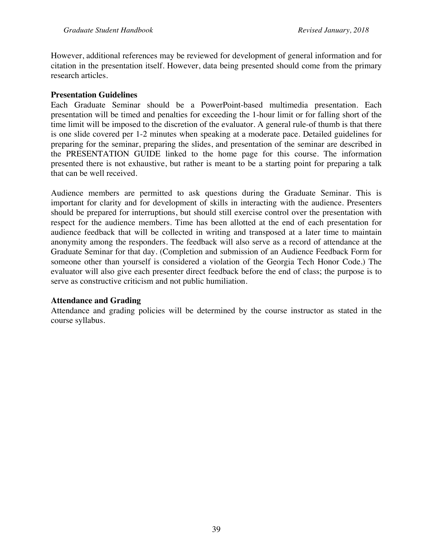However, additional references may be reviewed for development of general information and for citation in the presentation itself. However, data being presented should come from the primary research articles.

#### **Presentation Guidelines**

Each Graduate Seminar should be a PowerPoint-based multimedia presentation. Each presentation will be timed and penalties for exceeding the 1-hour limit or for falling short of the time limit will be imposed to the discretion of the evaluator. A general rule-of thumb is that there is one slide covered per 1-2 minutes when speaking at a moderate pace. Detailed guidelines for preparing for the seminar, preparing the slides, and presentation of the seminar are described in the PRESENTATION GUIDE linked to the home page for this course. The information presented there is not exhaustive, but rather is meant to be a starting point for preparing a talk that can be well received.

Audience members are permitted to ask questions during the Graduate Seminar. This is important for clarity and for development of skills in interacting with the audience. Presenters should be prepared for interruptions, but should still exercise control over the presentation with respect for the audience members. Time has been allotted at the end of each presentation for audience feedback that will be collected in writing and transposed at a later time to maintain anonymity among the responders. The feedback will also serve as a record of attendance at the Graduate Seminar for that day. (Completion and submission of an Audience Feedback Form for someone other than yourself is considered a violation of the Georgia Tech Honor Code.) The evaluator will also give each presenter direct feedback before the end of class; the purpose is to serve as constructive criticism and not public humiliation.

#### **Attendance and Grading**

Attendance and grading policies will be determined by the course instructor as stated in the course syllabus.